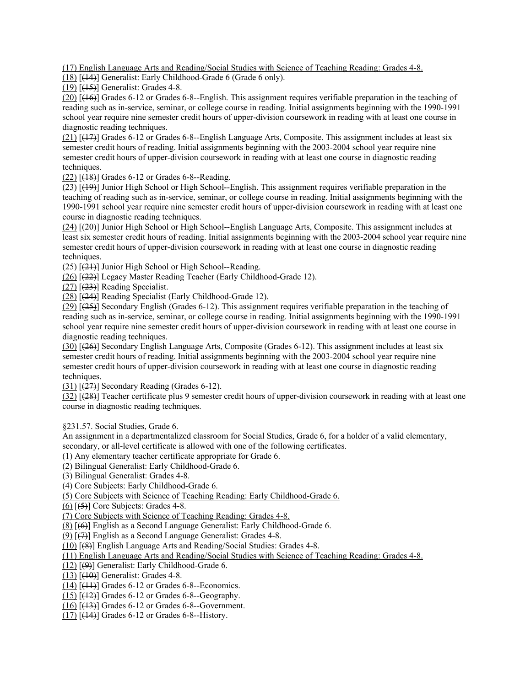(17) English Language Arts and Reading/Social Studies with Science of Teaching Reading: Grades 4-8.

(18) [(14)] Generalist: Early Childhood-Grade 6 (Grade 6 only).

(19) [(15)] Generalist: Grades 4-8.

 reading such as in-service, seminar, or college course in reading. Initial assignments beginning with the 1990-1991 (20) [(16)] Grades 6-12 or Grades 6-8--English. This assignment requires verifiable preparation in the teaching of school year require nine semester credit hours of upper-division coursework in reading with at least one course in diagnostic reading techniques.

(21) [(17)] Grades 6-12 or Grades 6-8--English Language Arts, Composite. This assignment includes at least six semester credit hours of reading. Initial assignments beginning with the 2003-2004 school year require nine semester credit hours of upper-division coursework in reading with at least one course in diagnostic reading techniques.

 $(22)$   $[48]$  Grades 6-12 or Grades 6-8--Reading.

(23) [(19)] Junior High School or High School--English. This assignment requires verifiable preparation in the 1990-1991 school year require nine semester credit hours of upper-division coursework in reading with at least one teaching of reading such as in-service, seminar, or college course in reading. Initial assignments beginning with the course in diagnostic reading techniques.

 $(24)$  [ $(20)$ ] Junior High School or High School--English Language Arts, Composite. This assignment includes at least six semester credit hours of reading. Initial assignments beginning with the 2003-2004 school year require nine semester credit hours of upper-division coursework in reading with at least one course in diagnostic reading techniques.

(25) [(21)] Junior High School or High School--Reading.

(26) [(22)] Legacy Master Reading Teacher (Early Childhood-Grade 12).

 $(27)$   $(23)$ ] Reading Specialist.

(28) [(24)] Reading Specialist (Early Childhood-Grade 12).

 reading such as in-service, seminar, or college course in reading. Initial assignments beginning with the 1990-1991 (29) [(25)] Secondary English (Grades 6-12). This assignment requires verifiable preparation in the teaching of school year require nine semester credit hours of upper-division coursework in reading with at least one course in diagnostic reading techniques.

(30) [(26)] Secondary English Language Arts, Composite (Grades 6-12). This assignment includes at least six semester credit hours of reading. Initial assignments beginning with the 2003-2004 school year require nine semester credit hours of upper-division coursework in reading with at least one course in diagnostic reading techniques.

 $(31)$   $(27)$ ] Secondary Reading (Grades 6-12).

 $(32)$  [ $(28)$ ] Teacher certificate plus 9 semester credit hours of upper-division coursework in reading with at least one course in diagnostic reading techniques.

§231.57. Social Studies, Grade 6.

An assignment in a departmentalized classroom for Social Studies, Grade 6, for a holder of a valid elementary, secondary, or all-level certificate is allowed with one of the following certificates.

(1) Any elementary teacher certificate appropriate for Grade 6.

(2) Bilingual Generalist: Early Childhood-Grade 6.

(3) Bilingual Generalist: Grades 4-8.

(4) Core Subjects: Early Childhood-Grade 6.

(5) Core Subjects with Science of Teaching Reading: Early Childhood-Grade 6.

 $(6)$   $[ (5) ]$  Core Subjects: Grades 4-8.

(7) Core Subjects with Science of Teaching Reading: Grades 4-8.

(8) [(6)] English as a Second Language Generalist: Early Childhood-Grade 6.

(9) [(7)] English as a Second Language Generalist: Grades 4-8.

(10) [(8)] English Language Arts and Reading/Social Studies: Grades 4-8.

(11) English Language Arts and Reading/Social Studies with Science of Teaching Reading: Grades 4-8.

(12) [(9)] Generalist: Early Childhood-Grade 6.

(13) [(10)] Generalist: Grades 4-8.

 $(14)$   $(11)$  Grades 6-12 or Grades 6-8--Economics.

 $(15)$   $(12)$ ] Grades 6-12 or Grades 6-8--Geography.

 $(16)$   $[$ ( $+3$ ) $]$  Grades 6-12 or Grades 6-8--Government.

 $(17)$   $[$ ( $\overline{14}$ ) $]$  Grades 6-12 or Grades 6-8--History.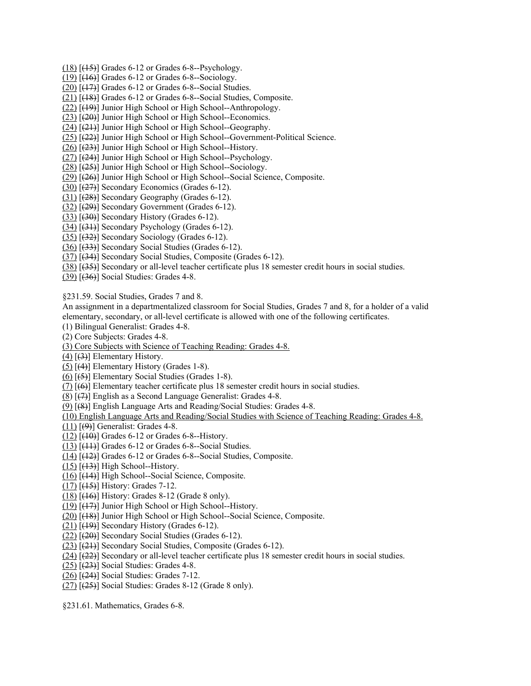- $(18)$   $(15)$ ] Grades 6-12 or Grades 6-8--Psychology.
- $(19)$  [ $(16)$ ] Grades 6-12 or Grades 6-8--Sociology.
- $(20)$   $[ (17) ]$  Grades 6-12 or Grades 6-8--Social Studies.
- (21) [(18)] Grades 6-12 or Grades 6-8--Social Studies, Composite.
- (22) [(19)] Junior High School or High School--Anthropology.
- (23) [(20)] Junior High School or High School--Economics.
- (24) [(21)] Junior High School or High School--Geography.
- (25) [(22)] Junior High School or High School--Government-Political Science.
- (26) [(23)] Junior High School or High School--History.
- (27) [(24)] Junior High School or High School--Psychology.
- (28) [(25)] Junior High School or High School--Sociology.
- (29) [(26)] Junior High School or High School--Social Science, Composite.
- $(30)$   $(27)$ ] Secondary Economics (Grades 6-12).
- (31) [(28)] Secondary Geography (Grades 6-12).
- (32) [(29)] Secondary Government (Grades 6-12).
- $(33)$   $(30)$ ] Secondary History (Grades 6-12).
- (34) [(31)] Secondary Psychology (Grades 6-12).
- (35) [(32)] Secondary Sociology (Grades 6-12).
- (36) [(33)] Secondary Social Studies (Grades 6-12).
- (37) [(34)] Secondary Social Studies, Composite (Grades 6-12).
- (38) [(35)] Secondary or all-level teacher certificate plus 18 semester credit hours in social studies.
- (39) [(36)] Social Studies: Grades 4-8.

§231.59. Social Studies, Grades 7 and 8.

An assignment in a departmentalized classroom for Social Studies, Grades 7 and 8, for a holder of a valid elementary, secondary, or all-level certificate is allowed with one of the following certificates.

- (1) Bilingual Generalist: Grades 4-8.
- (2) Core Subjects: Grades 4-8.
- (3) Core Subjects with Science of Teaching Reading: Grades 4-8.
- $(4)$   $(3)$ ] Elementary History.
- $(5)$  [ $(4)$ ] Elementary History (Grades 1-8).
- $(6)$   $(5)$ ] Elementary Social Studies (Grades 1-8).
- (7) [(6)] Elementary teacher certificate plus 18 semester credit hours in social studies.
- (8) [(7)] English as a Second Language Generalist: Grades 4-8.
- (9) [(8)] English Language Arts and Reading/Social Studies: Grades 4-8.
- (10) English Language Arts and Reading/Social Studies with Science of Teaching Reading: Grades 4-8.
- $(11)$   $[ (9)$ ] Generalist: Grades 4-8.
- $(12)$   $[40]$  Grades 6-12 or Grades 6-8--History.
- $(13)$  [ $(11)$ ] Grades 6-12 or Grades 6-8--Social Studies.
- (14) [(12)] Grades 6-12 or Grades 6-8--Social Studies, Composite.
- $(15)$   $(13)$ ] High School--History.
- (16) [(14)] High School--Social Science, Composite.
- (17) [(15)] History: Grades 7-12.
- $(18)$   $(16)$ ] History: Grades 8-12 (Grade 8 only).
- (19) [(17)] Junior High School or High School--History.
- (20) [(18)] Junior High School or High School--Social Science, Composite.
- $(21)$  [ $(19)$ ] Secondary History (Grades 6-12).
- (22) [(20)] Secondary Social Studies (Grades 6-12).
- (23) [(21)] Secondary Social Studies, Composite (Grades 6-12).
- (24) [(22)] Secondary or all-level teacher certificate plus 18 semester credit hours in social studies.
- $(25)$   $(23)$ ] Social Studies: Grades 4-8.
- $(26)$   $(24)$ ] Social Studies: Grades 7-12.
- $(27)$   $(25)$ ] Social Studies: Grades 8-12 (Grade 8 only).

§231.61. Mathematics, Grades 6-8.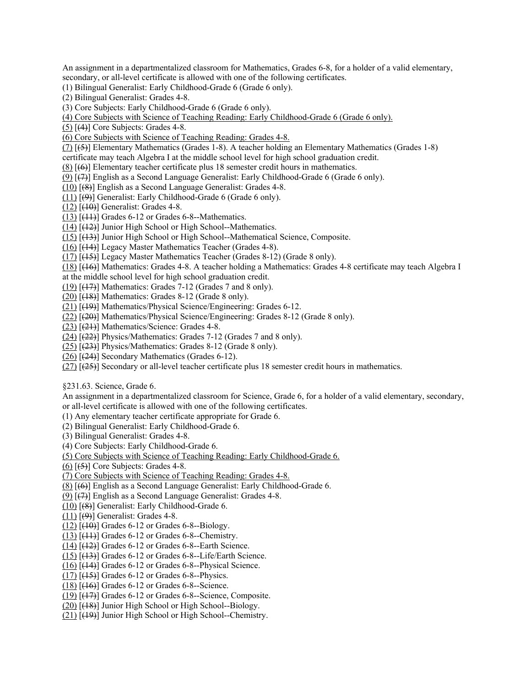An assignment in a departmentalized classroom for Mathematics, Grades 6-8, for a holder of a valid elementary, secondary, or all-level certificate is allowed with one of the following certificates.

- (1) Bilingual Generalist: Early Childhood-Grade 6 (Grade 6 only).
- (2) Bilingual Generalist: Grades 4-8.
- (3) Core Subjects: Early Childhood-Grade 6 (Grade 6 only).
- (4) Core Subjects with Science of Teaching Reading: Early Childhood-Grade 6 (Grade 6 only).
- $(5)$  [ $(4)$ ] Core Subjects: Grades 4-8.
- (6) Core Subjects with Science of Teaching Reading: Grades 4-8.
- $(7)$  [(5)] Elementary Mathematics (Grades 1-8). A teacher holding an Elementary Mathematics (Grades 1-8)
- certificate may teach Algebra I at the middle school level for high school graduation credit.
- $(8)$  [ $(6)$ ] Elementary teacher certificate plus 18 semester credit hours in mathematics.
- (9) [(7)] English as a Second Language Generalist: Early Childhood-Grade 6 (Grade 6 only).
- (10) [(8)] English as a Second Language Generalist: Grades 4-8.
- $(11)$  [ $(9)$ ] Generalist: Early Childhood-Grade 6 (Grade 6 only).
- (12) [(10)] Generalist: Grades 4-8.
- $(13)$  [ $(11)$ ] Grades 6-12 or Grades 6-8--Mathematics.
- (14) [(12)] Junior High School or High School--Mathematics.
- (15) [(13)] Junior High School or High School--Mathematical Science, Composite.
- (16) [(14)] Legacy Master Mathematics Teacher (Grades 4-8).
- (17) [(15)] Legacy Master Mathematics Teacher (Grades 8-12) (Grade 8 only).
- (18) [(16)] Mathematics: Grades 4-8. A teacher holding a Mathematics: Grades 4-8 certificate may teach Algebra I
- at the middle school level for high school graduation credit.
- (19)  $[(17)]$  Mathematics: Grades 7-12 (Grades 7 and 8 only).
- $(20)$   $\overline{[ (18)]}$  Mathematics: Grades 8-12 (Grade 8 only).
- (21) [(19)] Mathematics/Physical Science/Engineering: Grades 6-12.
- (22) [(20)] Mathematics/Physical Science/Engineering: Grades 8-12 (Grade 8 only).
- $(23)$   $[ (21) ]$  Mathematics/Science: Grades 4-8.
- $(24)$   $(22)$ ] Physics/Mathematics: Grades 7-12 (Grades 7 and 8 only).
- (25) [(23)] Physics/Mathematics: Grades 8-12 (Grade 8 only).
- $(26)$   $[ (24) ]$  Secondary Mathematics (Grades 6-12).
- (27) [(25)] Secondary or all-level teacher certificate plus 18 semester credit hours in mathematics.
- §231.63. Science, Grade 6.

 An assignment in a departmentalized classroom for Science, Grade 6, for a holder of a valid elementary, secondary, or all-level certificate is allowed with one of the following certificates.

(1) Any elementary teacher certificate appropriate for Grade 6.

(2) Bilingual Generalist: Early Childhood-Grade 6.

- (3) Bilingual Generalist: Grades 4-8.
- (4) Core Subjects: Early Childhood-Grade 6.
- (5) Core Subjects with Science of Teaching Reading: Early Childhood-Grade 6.
- $(6)$   $[ (5) ]$  Core Subjects: Grades 4-8.
- (7) Core Subjects with Science of Teaching Reading: Grades 4-8.
- (8) [(6)] English as a Second Language Generalist: Early Childhood-Grade 6.
- (9) [(7)] English as a Second Language Generalist: Grades 4-8.
- (10) [(8)] Generalist: Early Childhood-Grade 6.
- $(11)$   $[ (9)$ ] Generalist: Grades 4-8.
- $(12)$   $[40]$  Grades 6-12 or Grades 6-8--Biology.
- $(13)$  [ $(11)$ ] Grades 6-12 or Grades 6-8--Chemistry.
- $(14)$   $(12)$ ] Grades 6-12 or Grades 6-8--Earth Science.
- $(15)$   $[43]$  Grades 6-12 or Grades 6-8--Life/Earth Science.
- $(16)$   $(14)$  Grades 6-12 or Grades 6-8--Physical Science.
- $(17)$   $(15)$ ] Grades 6-12 or Grades 6-8--Physics.
- (18) [(16)] Grades 6-12 or Grades 6-8--Science.
- (19) [(17)] Grades 6-12 or Grades 6-8--Science, Composite.
- (20) [(18)] Junior High School or High School--Biology.
- (21) [(19)] Junior High School or High School--Chemistry.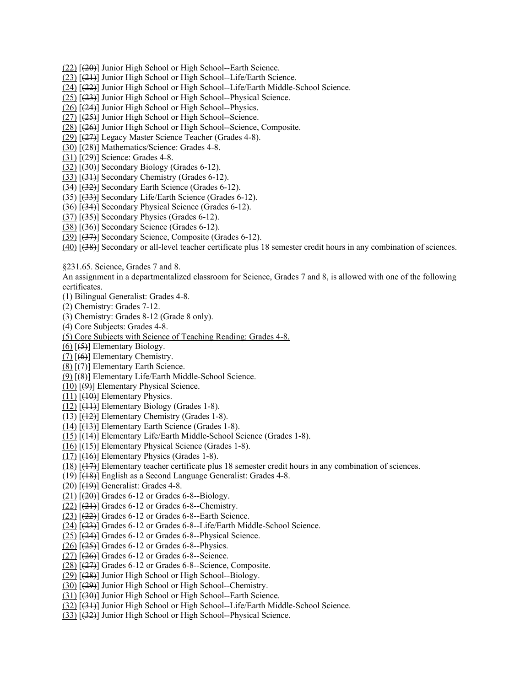- (22) [(20)] Junior High School or High School--Earth Science.
- (23) [(21)] Junior High School or High School--Life/Earth Science.
- (24) [(22)] Junior High School or High School--Life/Earth Middle-School Science.
- (25) [(23)] Junior High School or High School--Physical Science.
- $(26)$   $(24)$ ] Junior High School or High School--Physics.
- (27) [(25)] Junior High School or High School--Science.
- (28) [(26)] Junior High School or High School--Science, Composite.
- (29) [(27)] Legacy Master Science Teacher (Grades 4-8).
- (30) [(28)] Mathematics/Science: Grades 4-8.
- (31) [(29)] Science: Grades 4-8.
- $(32)$   $(30)$ ] Secondary Biology (Grades 6-12).
- (33) [(31)] Secondary Chemistry (Grades 6-12).
- (34) [(32)] Secondary Earth Science (Grades 6-12).
- (35) [(33)] Secondary Life/Earth Science (Grades 6-12).
- (36) [(34)] Secondary Physical Science (Grades 6-12).
- $(37)$   $(35)$ ] Secondary Physics (Grades 6-12).
- $(38)$  [ $(36)$ ] Secondary Science (Grades 6-12).
- (39) [(37)] Secondary Science, Composite (Grades 6-12).

(40) [(38)] Secondary or all-level teacher certificate plus 18 semester credit hours in any combination of sciences.

§231.65. Science, Grades 7 and 8.

An assignment in a departmentalized classroom for Science, Grades 7 and 8, is allowed with one of the following certificates.

- (1) Bilingual Generalist: Grades 4-8.
- (2) Chemistry: Grades 7-12.
- (3) Chemistry: Grades 8-12 (Grade 8 only).
- (4) Core Subjects: Grades 4-8.
- (5) Core Subjects with Science of Teaching Reading: Grades 4-8.
- $(6)$  [ $(5)$ ] Elementary Biology.
- $(7)$  [ $(6)$ ] Elementary Chemistry.
- (8) [(7)] Elementary Earth Science.
- (9) [(8)] Elementary Life/Earth Middle-School Science.
- (10) [(9)] Elementary Physical Science.
- $(11)$  [ $(10)$ ] Elementary Physics.
- $(12)$   $[$ ( $]$  $+1$  $]$  $]$  Elementary Biology (Grades 1-8).
- (13) [(12)] Elementary Chemistry (Grades 1-8).
- (14) [(13)] Elementary Earth Science (Grades 1-8).
- (15) [(14)] Elementary Life/Earth Middle-School Science (Grades 1-8).
- (16) [(15)] Elementary Physical Science (Grades 1-8).
- $(17)$  [ $(16)$ ] Elementary Physics (Grades 1-8).
- (18) [(17)] Elementary teacher certificate plus 18 semester credit hours in any combination of sciences.
- (19) [(18)] English as a Second Language Generalist: Grades 4-8.
- (20) [(19)] Generalist: Grades 4-8.
- $(21)$   $(20)$ ] Grades 6-12 or Grades 6-8--Biology.
- $(22)$   $[$ ( $\overline{21}$ ) $]$  Grades 6-12 or Grades 6-8--Chemistry.
- $(23)$   $(22)$ ] Grades 6-12 or Grades 6-8--Earth Science.
- (24) [(23)] Grades 6-12 or Grades 6-8--Life/Earth Middle-School Science.
- $(25)$   $(24)$ ] Grades 6-12 or Grades 6-8--Physical Science.
- $(26)$   $(25)$ ] Grades 6-12 or Grades 6-8--Physics.
- $(27)$   $[ (26) ]$  Grades 6-12 or Grades 6-8--Science.
- (28) [(27)] Grades 6-12 or Grades 6-8--Science, Composite.
- (29) [(28)] Junior High School or High School--Biology.
- $(30)$   $(29)$ ] Junior High School or High School--Chemistry.
- (31) [(30)] Junior High School or High School--Earth Science.
- (32) [(31)] Junior High School or High School--Life/Earth Middle-School Science.
- (33) [(32)] Junior High School or High School--Physical Science.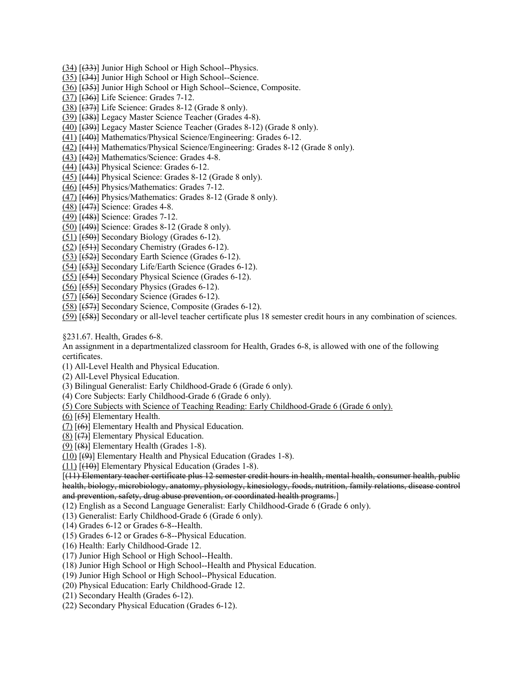- (34) [(33)] Junior High School or High School--Physics.
- (35) [(34)] Junior High School or High School--Science.
- (36) [(35)] Junior High School or High School--Science, Composite.
- (37) [(36)] Life Science: Grades 7-12.
- $(38)$   $(37)$ ] Life Science: Grades 8-12 (Grade 8 only).
- (39) [(38)] Legacy Master Science Teacher (Grades 4-8).
- (40) [(39)] Legacy Master Science Teacher (Grades 8-12) (Grade 8 only). (41) [(40)] Mathematics/Physical Science/Engineering: Grades 6-12.
- 
- (42) [(41)] Mathematics/Physical Science/Engineering: Grades 8-12 (Grade 8 only).
- (43) [(42)] Mathematics/Science: Grades 4-8.
- $(44)$  [ $(43)$ ] Physical Science: Grades 6-12.
- (45) [(44)] Physical Science: Grades 8-12 (Grade 8 only).
- (46) [(45)] Physics/Mathematics: Grades 7-12.
- (47) [(46)] Physics/Mathematics: Grades 8-12 (Grade 8 only).
- (48) [(47)] Science: Grades 4-8.
- (49) [(48)] Science: Grades 7-12.
- (50) [(49)] Science: Grades 8-12 (Grade 8 only).
- $(51)$   $(50)$ ] Secondary Biology (Grades 6-12).
- (52) [(51)] Secondary Chemistry (Grades 6-12).
- (53) [(52)] Secondary Earth Science (Grades 6-12).
- $(54)$   $(53)$ ] Secondary Life/Earth Science (Grades 6-12).
- (55) [(54)] Secondary Physical Science (Grades 6-12).
- $(56)$   $[ (55) ]$  Secondary Physics (Grades 6-12).
- $(57)$   $[ (56) ]$  Secondary Science (Grades 6-12).
- (58) [(57)] Secondary Science, Composite (Grades 6-12).
- (59) [(58)] Secondary or all-level teacher certificate plus 18 semester credit hours in any combination of sciences.

§231.67. Health, Grades 6-8.

An assignment in a departmentalized classroom for Health, Grades 6-8, is allowed with one of the following certificates.

- (1) All-Level Health and Physical Education.
- (2) All-Level Physical Education.
- (3) Bilingual Generalist: Early Childhood-Grade 6 (Grade 6 only).
- (4) Core Subjects: Early Childhood-Grade 6 (Grade 6 only).
- (5) Core Subjects with Science of Teaching Reading: Early Childhood-Grade 6 (Grade 6 only).
- $(6)$   $[ (5) ]$  Elementary Health.
- (7) [(6)] Elementary Health and Physical Education.
- (8)  $\left[\left(7\right)\right]$  Elementary Physical Education.
- $(9)$   $(8)$ ] Elementary Health (Grades 1-8).
- (10) [(9)] Elementary Health and Physical Education (Grades 1-8).

 $(11)$   $[40]$  Elementary Physical Education (Grades 1-8).

[(11) Elementary teacher certificate plus 12 semester credit hours in health, mental health, consumer health, public health, biology, microbiology, anatomy, physiology, kinesiology, foods, nutrition, family relations, disease control and prevention, safety, drug abuse prevention, or coordinated health programs.]

(12) English as a Second Language Generalist: Early Childhood-Grade 6 (Grade 6 only).

(13) Generalist: Early Childhood-Grade 6 (Grade 6 only).

- (14) Grades 6-12 or Grades 6-8--Health.
- (15) Grades 6-12 or Grades 6-8--Physical Education.
- (16) Health: Early Childhood-Grade 12.
- (17) Junior High School or High School--Health.
- (18) Junior High School or High School--Health and Physical Education.
- (19) Junior High School or High School--Physical Education.
- (20) Physical Education: Early Childhood-Grade 12.
- (21) Secondary Health (Grades 6-12).
- (22) Secondary Physical Education (Grades 6-12).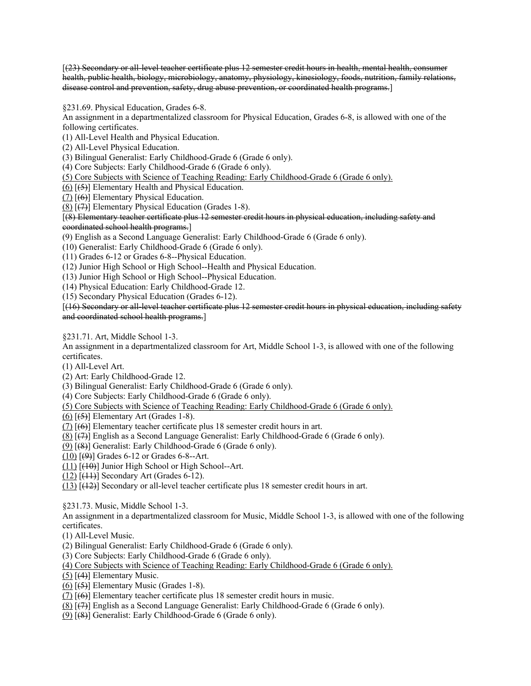[(23) Secondary or all-level teacher certificate plus 12 semester credit hours in health, mental health, consumer health, public health, biology, microbiology, anatomy, physiology, kinesiology, foods, nutrition, family relations, disease control and prevention, safety, drug abuse prevention, or coordinated health programs.]

§231.69. Physical Education, Grades 6-8.

An assignment in a departmentalized classroom for Physical Education, Grades 6-8, is allowed with one of the following certificates.

(1) All-Level Health and Physical Education.

(2) All-Level Physical Education.

(3) Bilingual Generalist: Early Childhood-Grade 6 (Grade 6 only).

(4) Core Subjects: Early Childhood-Grade 6 (Grade 6 only).

(5) Core Subjects with Science of Teaching Reading: Early Childhood-Grade 6 (Grade 6 only).

(6) [(5)] Elementary Health and Physical Education.

(7)  $[ (6) ]$  Elementary Physical Education.

(8) [(7)] Elementary Physical Education (Grades 1-8).

[(8) Elementary teacher certificate plus 12 semester credit hours in physical education, including safety and coordinated school health programs.]

(9) English as a Second Language Generalist: Early Childhood-Grade 6 (Grade 6 only).

(10) Generalist: Early Childhood-Grade 6 (Grade 6 only).

(11) Grades 6-12 or Grades 6-8--Physical Education.

(12) Junior High School or High School--Health and Physical Education.

(13) Junior High School or High School--Physical Education.

(14) Physical Education: Early Childhood-Grade 12.

(15) Secondary Physical Education (Grades 6-12).

[(16) Secondary or all-level teacher certificate plus 12 semester credit hours in physical education, including safety and coordinated school health programs.]

§231.71. Art, Middle School 1-3.

 An assignment in a departmentalized classroom for Art, Middle School 1-3, is allowed with one of the following certificates.

(1) All-Level Art.

(2) Art: Early Childhood-Grade 12.

(3) Bilingual Generalist: Early Childhood-Grade 6 (Grade 6 only).

(4) Core Subjects: Early Childhood-Grade 6 (Grade 6 only).

(5) Core Subjects with Science of Teaching Reading: Early Childhood-Grade 6 (Grade 6 only).

 $(6)$   $(5)$ ] Elementary Art (Grades 1-8).

 $(7)$  [ $(6)$ ] Elementary teacher certificate plus 18 semester credit hours in art.

(8) [(7)] English as a Second Language Generalist: Early Childhood-Grade 6 (Grade 6 only).

 $(9)$  [ $(8)$ ] Generalist: Early Childhood-Grade 6 (Grade 6 only).

 $(10)$   $(9)$ ] Grades 6-12 or Grades 6-8--Art.

 $(11)$   $(10)$ ] Junior High School or High School--Art.

 $(12)$  [ $(11)$ ] Secondary Art (Grades 6-12).

(13) [(12)] Secondary or all-level teacher certificate plus 18 semester credit hours in art.

§231.73. Music, Middle School 1-3.

An assignment in a departmentalized classroom for Music, Middle School 1-3, is allowed with one of the following certificates.

(1) All-Level Music.

(2) Bilingual Generalist: Early Childhood-Grade 6 (Grade 6 only).

(3) Core Subjects: Early Childhood-Grade 6 (Grade 6 only).

(4) Core Subjects with Science of Teaching Reading: Early Childhood-Grade 6 (Grade 6 only).

(5) [(4)] Elementary Music.

- $(6)$   $(5)$ ] Elementary Music (Grades 1-8).
- $(7)$  [ $(6)$ ] Elementary teacher certificate plus 18 semester credit hours in music.
- (8) [(7)] English as a Second Language Generalist: Early Childhood-Grade 6 (Grade 6 only).
- $(9)$  [ $(8)$ ] Generalist: Early Childhood-Grade 6 (Grade 6 only).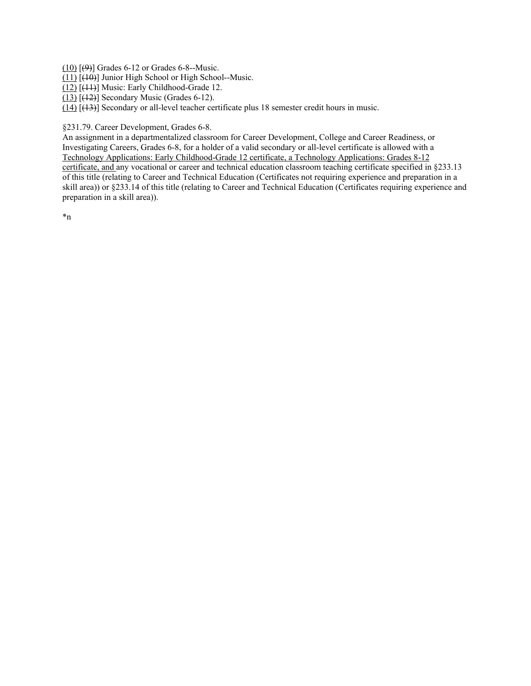$(10)$   $(9)$ ] Grades 6-12 or Grades 6-8--Music.

(11) [(10)] Junior High School or High School--Music.

(12) [(11)] Music: Early Childhood-Grade 12.

 $(13)$   $(12)$ ] Secondary Music (Grades 6-12).

 $(14)$   $(13)$ ] Secondary or all-level teacher certificate plus 18 semester credit hours in music.

§231.79. Career Development, Grades 6-8.

An assignment in a departmentalized classroom for Career Development, College and Career Readiness, or Investigating Careers, Grades 6-8, for a holder of a valid secondary or all-level certificate is allowed with a Technology Applications: Early Childhood-Grade 12 certificate, a Technology Applications: Grades 8-12 certificate, and any vocational or career and technical education classroom teaching certificate specified in §233.13 of this title (relating to Career and Technical Education (Certificates not requiring experience and preparation in a skill area)) or §233.14 of this title (relating to Career and Technical Education (Certificates requiring experience and preparation in a skill area)).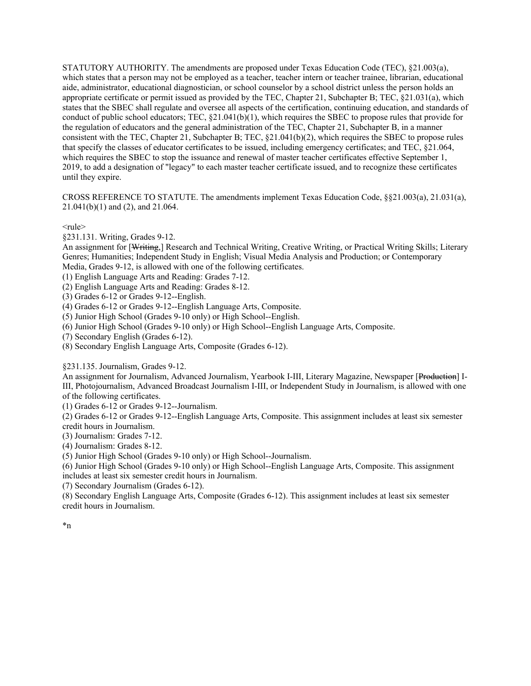CROSS REFERENCE TO STATUTE. The amendments implement Texas Education Code, §§21.003(a), 21.031(a), 21.041(b)(1) and (2), and 21.064.

 $<sub>rule</sub>$ </sub>

§231.131. Writing, Grades 9-12.

An assignment for [Writing,] Research and Technical Writing, Creative Writing, or Practical Writing Skills; Literary Genres; Humanities; Independent Study in English; Visual Media Analysis and Production; or Contemporary Media, Grades 9-12, is allowed with one of the following certificates.

(1) English Language Arts and Reading: Grades 7-12.

(2) English Language Arts and Reading: Grades 8-12.

(3) Grades 6-12 or Grades 9-12--English.

(4) Grades 6-12 or Grades 9-12--English Language Arts, Composite.

(5) Junior High School (Grades 9-10 only) or High School--English.

(6) Junior High School (Grades 9-10 only) or High School--English Language Arts, Composite.

(7) Secondary English (Grades 6-12).

(8) Secondary English Language Arts, Composite (Grades 6-12).

§231.135. Journalism, Grades 9-12.

An assignment for Journalism, Advanced Journalism, Yearbook I-III, Literary Magazine, Newspaper [Production] I-III, Photojournalism, Advanced Broadcast Journalism I-III, or Independent Study in Journalism, is allowed with one of the following certificates.

(1) Grades 6-12 or Grades 9-12--Journalism.

 (2) Grades 6-12 or Grades 9-12--English Language Arts, Composite. This assignment includes at least six semester credit hours in Journalism.

(3) Journalism: Grades 7-12.

(4) Journalism: Grades 8-12.

(5) Junior High School (Grades 9-10 only) or High School--Journalism.

 (6) Junior High School (Grades 9-10 only) or High School--English Language Arts, Composite. This assignment includes at least six semester credit hours in Journalism.

(7) Secondary Journalism (Grades 6-12).

(8) Secondary English Language Arts, Composite (Grades 6-12). This assignment includes at least six semester credit hours in Journalism.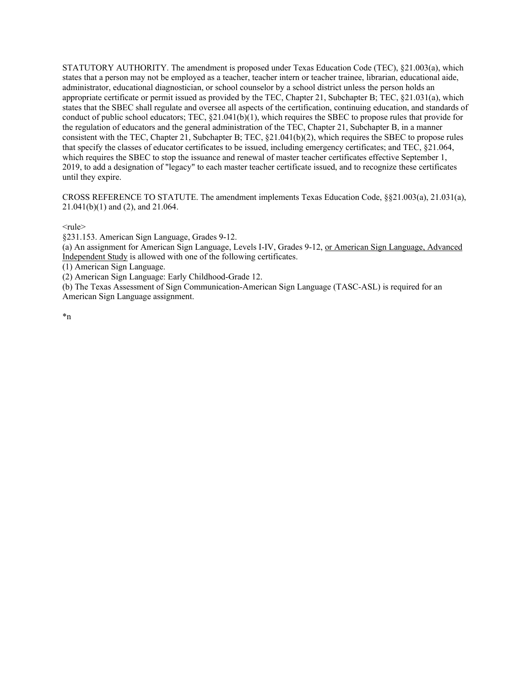CROSS REFERENCE TO STATUTE. The amendment implements Texas Education Code, §§21.003(a), 21.031(a), 21.041(b)(1) and (2), and 21.064.

 $<sub>rule</sub>$ </sub>

§231.153. American Sign Language, Grades 9-12.

(a) An assignment for American Sign Language, Levels I-IV, Grades 9-12, or American Sign Language, Advanced Independent Study is allowed with one of the following certificates.

(1) American Sign Language.

(2) American Sign Language: Early Childhood-Grade 12.

 (b) The Texas Assessment of Sign Communication-American Sign Language (TASC-ASL) is required for an American Sign Language assignment.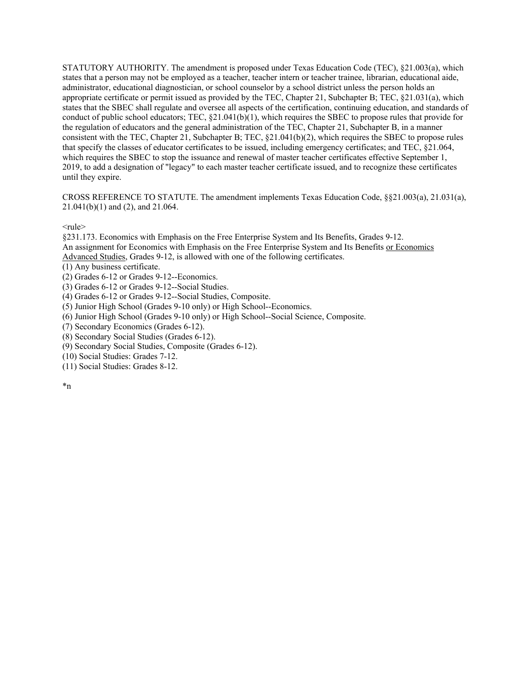CROSS REFERENCE TO STATUTE. The amendment implements Texas Education Code, §§21.003(a), 21.031(a), 21.041(b)(1) and (2), and 21.064.

 $<sub>rule</sub>$ </sub>

Advanced Studies, Grades 9-12, is allowed with one of the following certificates. §231.173. Economics with Emphasis on the Free Enterprise System and Its Benefits, Grades 9-12. An assignment for Economics with Emphasis on the Free Enterprise System and Its Benefits or Economics

(1) Any business certificate.

(2) Grades 6-12 or Grades 9-12--Economics.

(3) Grades 6-12 or Grades 9-12--Social Studies.

(4) Grades 6-12 or Grades 9-12--Social Studies, Composite.

(5) Junior High School (Grades 9-10 only) or High School--Economics.

(6) Junior High School (Grades 9-10 only) or High School--Social Science, Composite.

(7) Secondary Economics (Grades 6-12).

(8) Secondary Social Studies (Grades 6-12).

(9) Secondary Social Studies, Composite (Grades 6-12).

(10) Social Studies: Grades 7-12.

(11) Social Studies: Grades 8-12.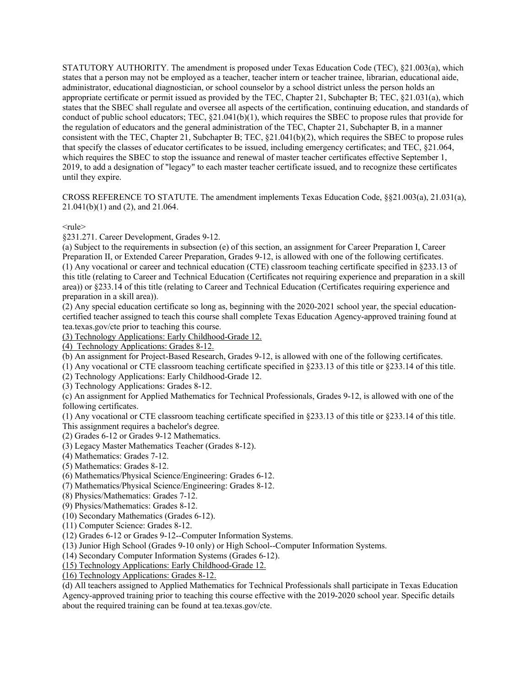CROSS REFERENCE TO STATUTE. The amendment implements Texas Education Code, §§21.003(a), 21.031(a), 21.041(b)(1) and (2), and 21.064.

 $<sub>rule</sub>$ </sub>

§231.271. Career Development, Grades 9-12.

(a) Subject to the requirements in subsection (e) of this section, an assignment for Career Preparation I, Career Preparation II, or Extended Career Preparation, Grades 9-12, is allowed with one of the following certificates. (1) Any vocational or career and technical education (CTE) classroom teaching certificate specified in §233.13 of this title (relating to Career and Technical Education (Certificates not requiring experience and preparation in a skill area)) or §233.14 of this title (relating to Career and Technical Education (Certificates requiring experience and preparation in a skill area)).

 certified teacher assigned to teach this course shall complete Texas Education Agency-approved training found at (2) Any special education certificate so long as, beginning with the 2020-2021 school year, the special education[tea.texas.gov/cte](https://tea.texas.gov/cte) prior to teaching this course.

(3) Technology Applications: Early Childhood-Grade 12.

(4) Technology Applications: Grades 8-12.

(b) An assignment for Project-Based Research, Grades 9-12, is allowed with one of the following certificates.

(1) Any vocational or CTE classroom teaching certificate specified in §233.13 of this title or §233.14 of this title.

(2) Technology Applications: Early Childhood-Grade 12.

(3) Technology Applications: Grades 8-12.

(c) An assignment for Applied Mathematics for Technical Professionals, Grades 9-12, is allowed with one of the following certificates.

(1) Any vocational or CTE classroom teaching certificate specified in §233.13 of this title or §233.14 of this title. This assignment requires a bachelor's degree.

(2) Grades 6-12 or Grades 9-12 Mathematics.

(3) Legacy Master Mathematics Teacher (Grades 8-12).

(4) Mathematics: Grades 7-12.

(5) Mathematics: Grades 8-12.

(6) Mathematics/Physical Science/Engineering: Grades 6-12.

(7) Mathematics/Physical Science/Engineering: Grades 8-12.

(8) Physics/Mathematics: Grades 7-12.

(9) Physics/Mathematics: Grades 8-12.

(10) Secondary Mathematics (Grades 6-12).

(11) Computer Science: Grades 8-12.

(12) Grades 6-12 or Grades 9-12--Computer Information Systems.

(13) Junior High School (Grades 9-10 only) or High School--Computer Information Systems.

(14) Secondary Computer Information Systems (Grades 6-12).

(15) Technology Applications: Early Childhood-Grade 12.

(16) Technology Applications: Grades 8-12.

 about the required training can be found at [tea.texas.gov/cte](https://tea.texas.gov/cte). (d) All teachers assigned to Applied Mathematics for Technical Professionals shall participate in Texas Education Agency-approved training prior to teaching this course effective with the 2019-2020 school year. Specific details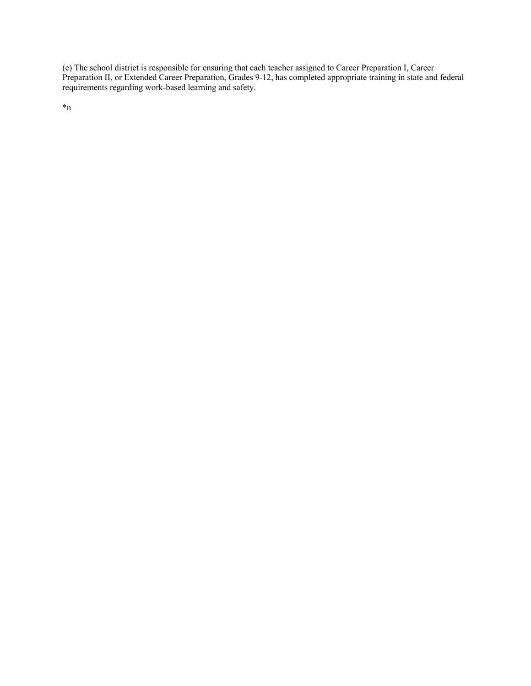(e) The school district is responsible for ensuring that each teacher assigned to Career Preparation I, Career Preparation II, or Extended Career Preparation, Grades 9-12, has completed appropriate training in state and federal requirements regarding work-based learning and safety.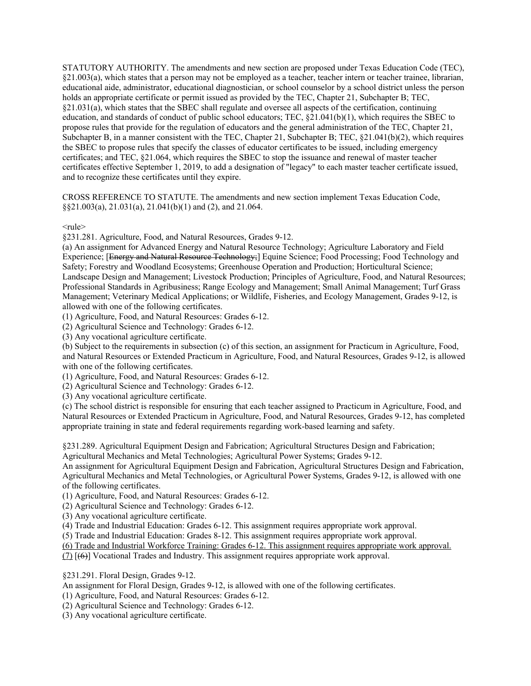education, and standards of conduct of public school educators; TEC, §21.041(b)(1), which requires the SBEC to Subchapter B, in a manner consistent with the TEC, Chapter 21, Subchapter B; TEC, §21.041(b)(2), which requires STATUTORY AUTHORITY. The amendments and new section are proposed under Texas Education Code (TEC), §21.003(a), which states that a person may not be employed as a teacher, teacher intern or teacher trainee, librarian, educational aide, administrator, educational diagnostician, or school counselor by a school district unless the person holds an appropriate certificate or permit issued as provided by the TEC, Chapter 21, Subchapter B; TEC, §21.031(a), which states that the SBEC shall regulate and oversee all aspects of the certification, continuing propose rules that provide for the regulation of educators and the general administration of the TEC, Chapter 21, the SBEC to propose rules that specify the classes of educator certificates to be issued, including emergency certificates; and TEC, §21.064, which requires the SBEC to stop the issuance and renewal of master teacher certificates effective September 1, 2019, to add a designation of "legacy" to each master teacher certificate issued, and to recognize these certificates until they expire.

 §§21.003(a), 21.031(a), 21.041(b)(1) and (2), and 21.064. CROSS REFERENCE TO STATUTE. The amendments and new section implement Texas Education Code,

 $<sub>rule</sub>$ </sub>

§231.281. Agriculture, Food, and Natural Resources, Grades 9-12.

 Landscape Design and Management; Livestock Production; Principles of Agriculture, Food, and Natural Resources; Management; Veterinary Medical Applications; or Wildlife, Fisheries, and Ecology Management, Grades 9-12, is (a) An assignment for Advanced Energy and Natural Resource Technology; Agriculture Laboratory and Field Experience; [Energy and Natural Resource Technology;] Equine Science; Food Processing; Food Technology and Safety; Forestry and Woodland Ecosystems; Greenhouse Operation and Production; Horticultural Science; Professional Standards in Agribusiness; Range Ecology and Management; Small Animal Management; Turf Grass allowed with one of the following certificates.

(1) Agriculture, Food, and Natural Resources: Grades 6-12.

(2) Agricultural Science and Technology: Grades 6-12.

(3) Any vocational agriculture certificate.

(b) Subject to the requirements in subsection (c) of this section, an assignment for Practicum in Agriculture, Food, and Natural Resources or Extended Practicum in Agriculture, Food, and Natural Resources, Grades 9-12, is allowed with one of the following certificates.

(1) Agriculture, Food, and Natural Resources: Grades 6-12.

(2) Agricultural Science and Technology: Grades 6-12.

(3) Any vocational agriculture certificate.

(c) The school district is responsible for ensuring that each teacher assigned to Practicum in Agriculture, Food, and Natural Resources or Extended Practicum in Agriculture, Food, and Natural Resources, Grades 9-12, has completed appropriate training in state and federal requirements regarding work-based learning and safety.

§231.289. Agricultural Equipment Design and Fabrication; Agricultural Structures Design and Fabrication;

Agricultural Mechanics and Metal Technologies; Agricultural Power Systems; Grades 9-12.

An assignment for Agricultural Equipment Design and Fabrication, Agricultural Structures Design and Fabrication, Agricultural Mechanics and Metal Technologies, or Agricultural Power Systems, Grades 9-12, is allowed with one of the following certificates.

(1) Agriculture, Food, and Natural Resources: Grades 6-12.

(2) Agricultural Science and Technology: Grades 6-12.

(3) Any vocational agriculture certificate.

(4) Trade and Industrial Education: Grades 6-12. This assignment requires appropriate work approval.

(5) Trade and Industrial Education: Grades 8-12. This assignment requires appropriate work approval.

(6) Trade and Industrial Workforce Training: Grades 6-12. This assignment requires appropriate work approval.

(7) [(6)] Vocational Trades and Industry. This assignment requires appropriate work approval.

§231.291. Floral Design, Grades 9-12.

An assignment for Floral Design, Grades 9-12, is allowed with one of the following certificates.

(1) Agriculture, Food, and Natural Resources: Grades 6-12.

(2) Agricultural Science and Technology: Grades 6-12.

(3) Any vocational agriculture certificate.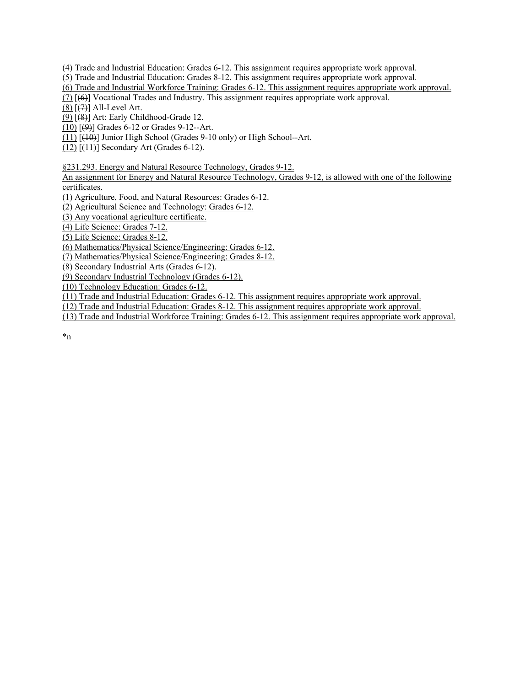(4) Trade and Industrial Education: Grades 6-12. This assignment requires appropriate work approval.

(5) Trade and Industrial Education: Grades 8-12. This assignment requires appropriate work approval.

(6) Trade and Industrial Workforce Training: Grades 6-12. This assignment requires appropriate work approval.

(7) [(6)] Vocational Trades and Industry. This assignment requires appropriate work approval.

 $(8)$   $(7)$ ] All-Level Art.

(9) [(8)] Art: Early Childhood-Grade 12.

 $(10)$   $(9)$ ] Grades 6-12 or Grades 9-12--Art.

 $(11)$   $(10)$ ] Junior High School (Grades 9-10 only) or High School--Art.

 $(12)$  [ $(11)$ ] Secondary Art (Grades 6-12).

§231.293. Energy and Natural Resource Technology, Grades 9-12.

 An assignment for Energy and Natural Resource Technology, Grades 9-12, is allowed with one of the following certificates.

(1) Agriculture, Food, and Natural Resources: Grades 6-12.

(2) Agricultural Science and Technology: Grades 6-12.

(3) Any vocational agriculture certificate.

(4) Life Science: Grades 7-12.

(5) Life Science: Grades 8-12.

(6) Mathematics/Physical Science/Engineering: Grades 6-12.

(7) Mathematics/Physical Science/Engineering: Grades 8-12.

(8) Secondary Industrial Arts (Grades 6-12).

(9) Secondary Industrial Technology (Grades 6-12).

(10) Technology Education: Grades 6-12.

(11) Trade and Industrial Education: Grades 6-12. This assignment requires appropriate work approval.

(12) Trade and Industrial Education: Grades 8-12. This assignment requires appropriate work approval.

(13) Trade and Industrial Workforce Training: Grades 6-12. This assignment requires appropriate work approval.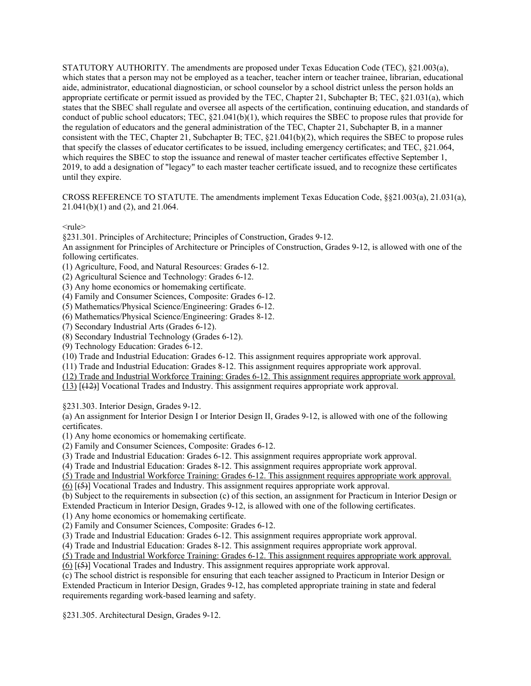CROSS REFERENCE TO STATUTE. The amendments implement Texas Education Code, §§21.003(a), 21.031(a), 21.041(b)(1) and (2), and 21.064.

 $<sub>rule</sub>$ </sub>

§231.301. Principles of Architecture; Principles of Construction, Grades 9-12.

An assignment for Principles of Architecture or Principles of Construction, Grades 9-12, is allowed with one of the following certificates.

(1) Agriculture, Food, and Natural Resources: Grades 6-12.

(2) Agricultural Science and Technology: Grades 6-12.

(3) Any home economics or homemaking certificate.

(4) Family and Consumer Sciences, Composite: Grades 6-12.

(5) Mathematics/Physical Science/Engineering: Grades 6-12.

(6) Mathematics/Physical Science/Engineering: Grades 8-12.

(7) Secondary Industrial Arts (Grades 6-12).

(8) Secondary Industrial Technology (Grades 6-12).

(9) Technology Education: Grades 6-12.

(10) Trade and Industrial Education: Grades 6-12. This assignment requires appropriate work approval.

(11) Trade and Industrial Education: Grades 8-12. This assignment requires appropriate work approval.

(12) Trade and Industrial Workforce Training: Grades 6-12. This assignment requires appropriate work approval.

(13) [(12)] Vocational Trades and Industry. This assignment requires appropriate work approval.

§231.303. Interior Design, Grades 9-12.

 (a) An assignment for Interior Design I or Interior Design II, Grades 9-12, is allowed with one of the following certificates.

(1) Any home economics or homemaking certificate.

(2) Family and Consumer Sciences, Composite: Grades 6-12.

(3) Trade and Industrial Education: Grades 6-12. This assignment requires appropriate work approval.

(4) Trade and Industrial Education: Grades 8-12. This assignment requires appropriate work approval.

(5) Trade and Industrial Workforce Training: Grades 6-12. This assignment requires appropriate work approval.

(6) [(5)] Vocational Trades and Industry. This assignment requires appropriate work approval.

 (b) Subject to the requirements in subsection (c) of this section, an assignment for Practicum in Interior Design or Extended Practicum in Interior Design, Grades 9-12, is allowed with one of the following certificates.

(1) Any home economics or homemaking certificate.

(2) Family and Consumer Sciences, Composite: Grades 6-12.

(3) Trade and Industrial Education: Grades 6-12. This assignment requires appropriate work approval.

(4) Trade and Industrial Education: Grades 8-12. This assignment requires appropriate work approval.

(5) Trade and Industrial Workforce Training: Grades 6-12. This assignment requires appropriate work approval.

(6) [(5)] Vocational Trades and Industry. This assignment requires appropriate work approval.

(c) The school district is responsible for ensuring that each teacher assigned to Practicum in Interior Design or Extended Practicum in Interior Design, Grades 9-12, has completed appropriate training in state and federal requirements regarding work-based learning and safety.

§231.305. Architectural Design, Grades 9-12.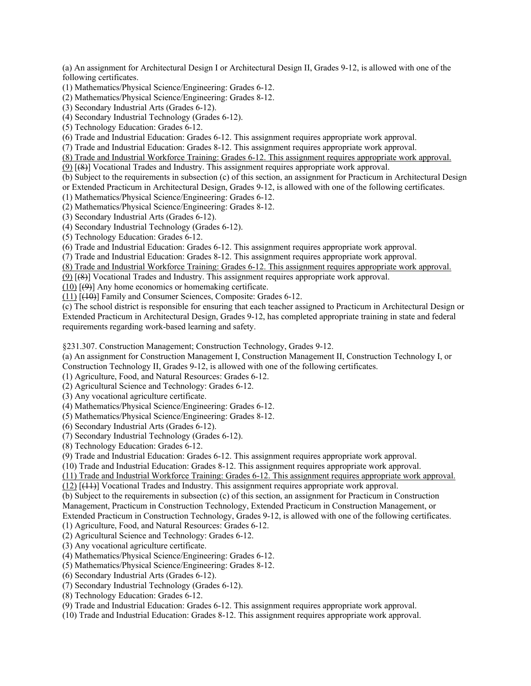(a) An assignment for Architectural Design I or Architectural Design II, Grades 9-12, is allowed with one of the following certificates.

(1) Mathematics/Physical Science/Engineering: Grades 6-12.

(2) Mathematics/Physical Science/Engineering: Grades 8-12.

(3) Secondary Industrial Arts (Grades 6-12).

(4) Secondary Industrial Technology (Grades 6-12).

(5) Technology Education: Grades 6-12.

(6) Trade and Industrial Education: Grades 6-12. This assignment requires appropriate work approval.

(7) Trade and Industrial Education: Grades 8-12. This assignment requires appropriate work approval.

(8) Trade and Industrial Workforce Training: Grades 6-12. This assignment requires appropriate work approval.

(9) [(8)] Vocational Trades and Industry. This assignment requires appropriate work approval.

(b) Subject to the requirements in subsection (c) of this section, an assignment for Practicum in Architectural Design or Extended Practicum in Architectural Design, Grades 9-12, is allowed with one of the following certificates.

(1) Mathematics/Physical Science/Engineering: Grades 6-12.

(2) Mathematics/Physical Science/Engineering: Grades 8-12.

(3) Secondary Industrial Arts (Grades 6-12).

(4) Secondary Industrial Technology (Grades 6-12).

(5) Technology Education: Grades 6-12.

(6) Trade and Industrial Education: Grades 6-12. This assignment requires appropriate work approval.

(7) Trade and Industrial Education: Grades 8-12. This assignment requires appropriate work approval.

(8) Trade and Industrial Workforce Training: Grades 6-12. This assignment requires appropriate work approval.

(9) [(8)] Vocational Trades and Industry. This assignment requires appropriate work approval.

 $(10)$   $[\Theta]$  Any home economics or homemaking certificate.

 $(11)$   $\overline{(40)}$ ] Family and Consumer Sciences, Composite: Grades 6-12.

(c) The school district is responsible for ensuring that each teacher assigned to Practicum in Architectural Design or Extended Practicum in Architectural Design, Grades 9-12, has completed appropriate training in state and federal requirements regarding work-based learning and safety.

§231.307. Construction Management; Construction Technology, Grades 9-12.

 (a) An assignment for Construction Management I, Construction Management II, Construction Technology I, or Construction Technology II, Grades 9-12, is allowed with one of the following certificates.

(1) Agriculture, Food, and Natural Resources: Grades 6-12.

(2) Agricultural Science and Technology: Grades 6-12.

(3) Any vocational agriculture certificate.

(4) Mathematics/Physical Science/Engineering: Grades 6-12.

(5) Mathematics/Physical Science/Engineering: Grades 8-12.

(6) Secondary Industrial Arts (Grades 6-12).

(7) Secondary Industrial Technology (Grades 6-12).

(8) Technology Education: Grades 6-12.

(9) Trade and Industrial Education: Grades 6-12. This assignment requires appropriate work approval.

(10) Trade and Industrial Education: Grades 8-12. This assignment requires appropriate work approval.

(11) Trade and Industrial Workforce Training: Grades 6-12. This assignment requires appropriate work approval.

(12) [(11)] Vocational Trades and Industry. This assignment requires appropriate work approval.

 Management, Practicum in Construction Technology, Extended Practicum in Construction Management, or Extended Practicum in Construction Technology, Grades 9-12, is allowed with one of the following certificates. (b) Subject to the requirements in subsection (c) of this section, an assignment for Practicum in Construction

(1) Agriculture, Food, and Natural Resources: Grades 6-12.

(2) Agricultural Science and Technology: Grades 6-12.

(3) Any vocational agriculture certificate.

(4) Mathematics/Physical Science/Engineering: Grades 6-12.

(5) Mathematics/Physical Science/Engineering: Grades 8-12.

(6) Secondary Industrial Arts (Grades 6-12).

(7) Secondary Industrial Technology (Grades 6-12).

(8) Technology Education: Grades 6-12.

(9) Trade and Industrial Education: Grades 6-12. This assignment requires appropriate work approval.

(10) Trade and Industrial Education: Grades 8-12. This assignment requires appropriate work approval.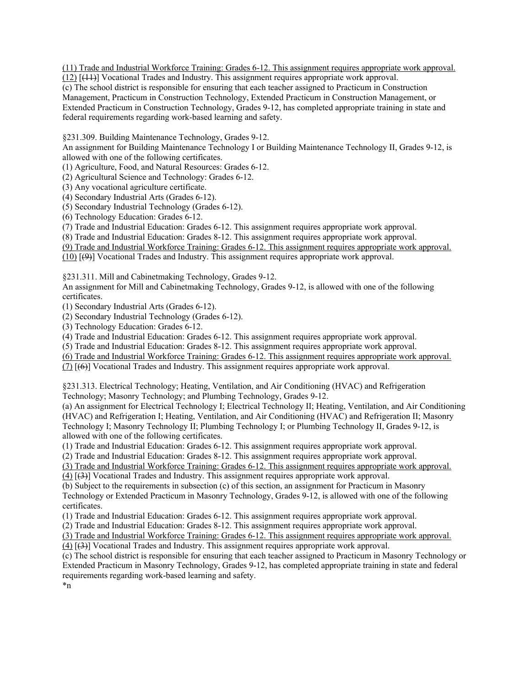(11) Trade and Industrial Workforce Training: Grades 6-12. This assignment requires appropriate work approval.

(12) [(11)] Vocational Trades and Industry. This assignment requires appropriate work approval.

 Management, Practicum in Construction Technology, Extended Practicum in Construction Management, or (c) The school district is responsible for ensuring that each teacher assigned to Practicum in Construction Extended Practicum in Construction Technology, Grades 9-12, has completed appropriate training in state and federal requirements regarding work-based learning and safety.

§231.309. Building Maintenance Technology, Grades 9-12.

An assignment for Building Maintenance Technology I or Building Maintenance Technology II, Grades 9-12, is allowed with one of the following certificates.

(1) Agriculture, Food, and Natural Resources: Grades 6-12.

(2) Agricultural Science and Technology: Grades 6-12.

(3) Any vocational agriculture certificate.

(4) Secondary Industrial Arts (Grades 6-12).

(5) Secondary Industrial Technology (Grades 6-12).

(6) Technology Education: Grades 6-12.

(7) Trade and Industrial Education: Grades 6-12. This assignment requires appropriate work approval.

(8) Trade and Industrial Education: Grades 8-12. This assignment requires appropriate work approval.

(9) Trade and Industrial Workforce Training: Grades 6-12. This assignment requires appropriate work approval.

(10) [(9)] Vocational Trades and Industry. This assignment requires appropriate work approval.

§231.311. Mill and Cabinetmaking Technology, Grades 9-12.

An assignment for Mill and Cabinetmaking Technology, Grades 9-12, is allowed with one of the following certificates.

(1) Secondary Industrial Arts (Grades 6-12).

(2) Secondary Industrial Technology (Grades 6-12).

(3) Technology Education: Grades 6-12.

(4) Trade and Industrial Education: Grades 6-12. This assignment requires appropriate work approval.

(5) Trade and Industrial Education: Grades 8-12. This assignment requires appropriate work approval.

(6) Trade and Industrial Workforce Training: Grades 6-12. This assignment requires appropriate work approval.

(7) [(6)] Vocational Trades and Industry. This assignment requires appropriate work approval.

§231.313. Electrical Technology; Heating, Ventilation, and Air Conditioning (HVAC) and Refrigeration Technology; Masonry Technology; and Plumbing Technology, Grades 9-12.

 (HVAC) and Refrigeration I; Heating, Ventilation, and Air Conditioning (HVAC) and Refrigeration II; Masonry Technology I; Masonry Technology II; Plumbing Technology I; or Plumbing Technology II, Grades 9-12, is (a) An assignment for Electrical Technology I; Electrical Technology II; Heating, Ventilation, and Air Conditioning allowed with one of the following certificates.

(1) Trade and Industrial Education: Grades 6-12. This assignment requires appropriate work approval.

(2) Trade and Industrial Education: Grades 8-12. This assignment requires appropriate work approval.

(3) Trade and Industrial Workforce Training: Grades 6-12. This assignment requires appropriate work approval.

(4) [(3)] Vocational Trades and Industry. This assignment requires appropriate work approval.

 (b) Subject to the requirements in subsection (c) of this section, an assignment for Practicum in Masonry Technology or Extended Practicum in Masonry Technology, Grades 9-12, is allowed with one of the following certificates.

(1) Trade and Industrial Education: Grades 6-12. This assignment requires appropriate work approval.

(2) Trade and Industrial Education: Grades 8-12. This assignment requires appropriate work approval.

(3) Trade and Industrial Workforce Training: Grades 6-12. This assignment requires appropriate work approval.

(4) [(3)] Vocational Trades and Industry. This assignment requires appropriate work approval.

(c) The school district is responsible for ensuring that each teacher assigned to Practicum in Masonry Technology or Extended Practicum in Masonry Technology, Grades 9-12, has completed appropriate training in state and federal requirements regarding work-based learning and safety.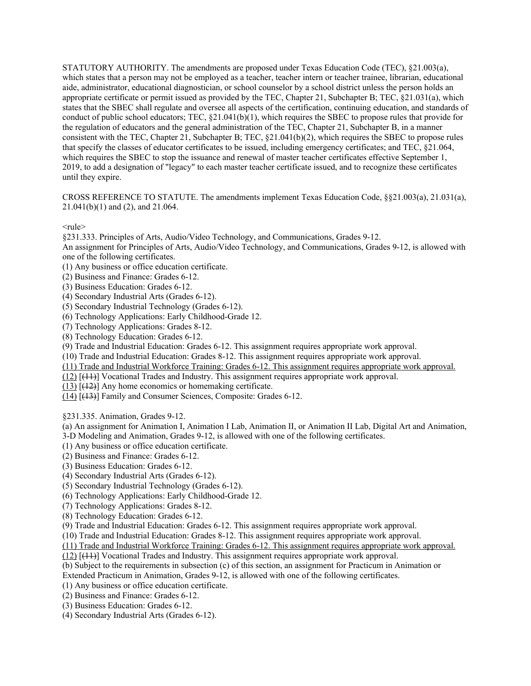CROSS REFERENCE TO STATUTE. The amendments implement Texas Education Code, §§21.003(a), 21.031(a), 21.041(b)(1) and (2), and 21.064.

 $<sub>rule</sub>$ </sub>

§231.333. Principles of Arts, Audio/Video Technology, and Communications, Grades 9-12.

An assignment for Principles of Arts, Audio/Video Technology, and Communications, Grades 9-12, is allowed with one of the following certificates.

(1) Any business or office education certificate.

- (2) Business and Finance: Grades 6-12.
- (3) Business Education: Grades 6-12.

(4) Secondary Industrial Arts (Grades 6-12).

(5) Secondary Industrial Technology (Grades 6-12).

(6) Technology Applications: Early Childhood-Grade 12.

(7) Technology Applications: Grades 8-12.

(8) Technology Education: Grades 6-12.

(9) Trade and Industrial Education: Grades 6-12. This assignment requires appropriate work approval.

(10) Trade and Industrial Education: Grades 8-12. This assignment requires appropriate work approval.

(11) Trade and Industrial Workforce Training: Grades 6-12. This assignment requires appropriate work approval.

(12) [(11)] Vocational Trades and Industry. This assignment requires appropriate work approval.

 $(13)$  [ $(12)$ ] Any home economics or homemaking certificate.

(14) [(13)] Family and Consumer Sciences, Composite: Grades 6-12.

§231.335. Animation, Grades 9-12.

 (a) An assignment for Animation I, Animation I Lab, Animation II, or Animation II Lab, Digital Art and Animation, 3-D Modeling and Animation, Grades 9-12, is allowed with one of the following certificates.

(1) Any business or office education certificate.

(2) Business and Finance: Grades 6-12.

(3) Business Education: Grades 6-12.

(4) Secondary Industrial Arts (Grades 6-12).

(5) Secondary Industrial Technology (Grades 6-12).

(6) Technology Applications: Early Childhood-Grade 12.

(7) Technology Applications: Grades 8-12.

(8) Technology Education: Grades 6-12.

(9) Trade and Industrial Education: Grades 6-12. This assignment requires appropriate work approval.

(10) Trade and Industrial Education: Grades 8-12. This assignment requires appropriate work approval.

(11) Trade and Industrial Workforce Training: Grades 6-12. This assignment requires appropriate work approval.

(12) [(11)] Vocational Trades and Industry. This assignment requires appropriate work approval.

(b) Subject to the requirements in subsection (c) of this section, an assignment for Practicum in Animation or

Extended Practicum in Animation, Grades 9-12, is allowed with one of the following certificates.

(1) Any business or office education certificate.

(2) Business and Finance: Grades 6-12.

(3) Business Education: Grades 6-12.

(4) Secondary Industrial Arts (Grades 6-12).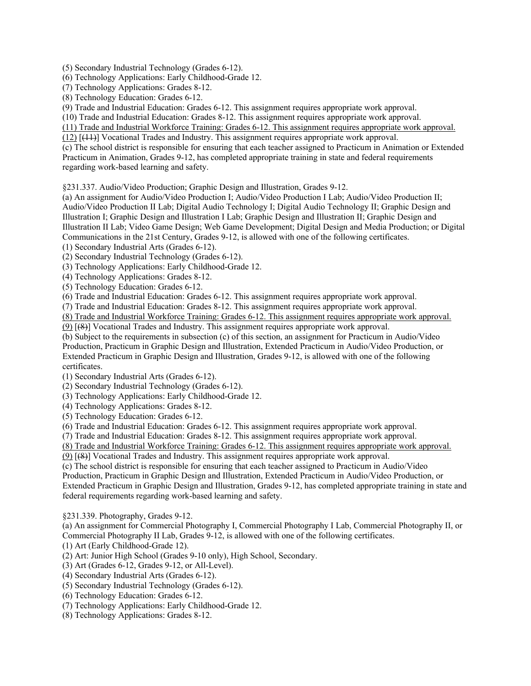(5) Secondary Industrial Technology (Grades 6-12).

(6) Technology Applications: Early Childhood-Grade 12.

(7) Technology Applications: Grades 8-12.

(8) Technology Education: Grades 6-12.

(9) Trade and Industrial Education: Grades 6-12. This assignment requires appropriate work approval.

(10) Trade and Industrial Education: Grades 8-12. This assignment requires appropriate work approval.

(11) Trade and Industrial Workforce Training: Grades 6-12. This assignment requires appropriate work approval.

(12) [(11)] Vocational Trades and Industry. This assignment requires appropriate work approval.

(c) The school district is responsible for ensuring that each teacher assigned to Practicum in Animation or Extended Practicum in Animation, Grades 9-12, has completed appropriate training in state and federal requirements regarding work-based learning and safety.

§231.337. Audio/Video Production; Graphic Design and Illustration, Grades 9-12.

 Illustration I; Graphic Design and Illustration I Lab; Graphic Design and Illustration II; Graphic Design and Illustration II Lab; Video Game Design; Web Game Development; Digital Design and Media Production; or Digital (a) An assignment for Audio/Video Production I; Audio/Video Production I Lab; Audio/Video Production II; Audio/Video Production II Lab; Digital Audio Technology I; Digital Audio Technology II; Graphic Design and Communications in the 21st Century, Grades 9-12, is allowed with one of the following certificates.

(1) Secondary Industrial Arts (Grades 6-12).

(2) Secondary Industrial Technology (Grades 6-12).

(3) Technology Applications: Early Childhood-Grade 12.

(4) Technology Applications: Grades 8-12.

(5) Technology Education: Grades 6-12.

(6) Trade and Industrial Education: Grades 6-12. This assignment requires appropriate work approval.

(7) Trade and Industrial Education: Grades 8-12. This assignment requires appropriate work approval.

(8) Trade and Industrial Workforce Training: Grades 6-12. This assignment requires appropriate work approval.

(9) [(8)] Vocational Trades and Industry. This assignment requires appropriate work approval.

 Production, Practicum in Graphic Design and Illustration, Extended Practicum in Audio/Video Production, or (b) Subject to the requirements in subsection (c) of this section, an assignment for Practicum in Audio/Video Extended Practicum in Graphic Design and Illustration, Grades 9-12, is allowed with one of the following certificates.

(1) Secondary Industrial Arts (Grades 6-12).

(2) Secondary Industrial Technology (Grades 6-12).

(3) Technology Applications: Early Childhood-Grade 12.

(4) Technology Applications: Grades 8-12.

(5) Technology Education: Grades 6-12.

(6) Trade and Industrial Education: Grades 6-12. This assignment requires appropriate work approval.

(7) Trade and Industrial Education: Grades 8-12. This assignment requires appropriate work approval.

(8) Trade and Industrial Workforce Training: Grades 6-12. This assignment requires appropriate work approval.

(9) [(8)] Vocational Trades and Industry. This assignment requires appropriate work approval.

(c) The school district is responsible for ensuring that each teacher assigned to Practicum in Audio/Video

Production, Practicum in Graphic Design and Illustration, Extended Practicum in Audio/Video Production, or

Extended Practicum in Graphic Design and Illustration, Grades 9-12, has completed appropriate training in state and federal requirements regarding work-based learning and safety.

§231.339. Photography, Grades 9-12.

 (a) An assignment for Commercial Photography I, Commercial Photography I Lab, Commercial Photography II, or Commercial Photography II Lab, Grades 9-12, is allowed with one of the following certificates.

(1) Art (Early Childhood-Grade 12).

(2) Art: Junior High School (Grades 9-10 only), High School, Secondary.

(3) Art (Grades 6-12, Grades 9-12, or All-Level).

(4) Secondary Industrial Arts (Grades 6-12).

(5) Secondary Industrial Technology (Grades 6-12).

(6) Technology Education: Grades 6-12.

(7) Technology Applications: Early Childhood-Grade 12.

(8) Technology Applications: Grades 8-12.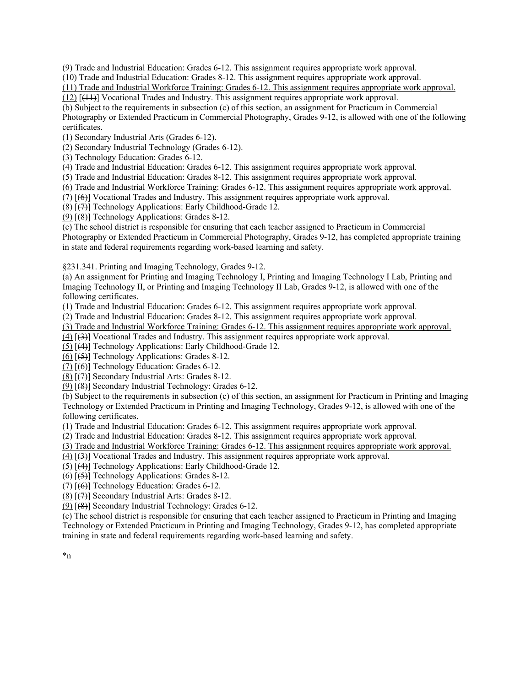(9) Trade and Industrial Education: Grades 6-12. This assignment requires appropriate work approval.

(10) Trade and Industrial Education: Grades 8-12. This assignment requires appropriate work approval.

(11) Trade and Industrial Workforce Training: Grades 6-12. This assignment requires appropriate work approval.

(12) [(11)] Vocational Trades and Industry. This assignment requires appropriate work approval.

 Photography or Extended Practicum in Commercial Photography, Grades 9-12, is allowed with one of the following (b) Subject to the requirements in subsection (c) of this section, an assignment for Practicum in Commercial certificates.

(1) Secondary Industrial Arts (Grades 6-12).

(2) Secondary Industrial Technology (Grades 6-12).

(3) Technology Education: Grades 6-12.

(4) Trade and Industrial Education: Grades 6-12. This assignment requires appropriate work approval.

(5) Trade and Industrial Education: Grades 8-12. This assignment requires appropriate work approval.

(6) Trade and Industrial Workforce Training: Grades 6-12. This assignment requires appropriate work approval.

(7) [(6)] Vocational Trades and Industry. This assignment requires appropriate work approval.

 $(8)$  [ $(7)$ ] Technology Applications: Early Childhood-Grade 12.

(9) [(8)] Technology Applications: Grades 8-12.

(c) The school district is responsible for ensuring that each teacher assigned to Practicum in Commercial Photography or Extended Practicum in Commercial Photography, Grades 9-12, has completed appropriate training in state and federal requirements regarding work-based learning and safety.

§231.341. Printing and Imaging Technology, Grades 9-12.

 Imaging Technology II, or Printing and Imaging Technology II Lab, Grades 9-12, is allowed with one of the (a) An assignment for Printing and Imaging Technology I, Printing and Imaging Technology I Lab, Printing and following certificates.

(1) Trade and Industrial Education: Grades 6-12. This assignment requires appropriate work approval.

(2) Trade and Industrial Education: Grades 8-12. This assignment requires appropriate work approval.

(3) Trade and Industrial Workforce Training: Grades 6-12. This assignment requires appropriate work approval.

(4) [(3)] Vocational Trades and Industry. This assignment requires appropriate work approval.

 $(5)$  [ $(4)$ ] Technology Applications: Early Childhood-Grade 12.

(6) [(5)] Technology Applications: Grades 8-12.

(7) [(6)] Technology Education: Grades 6-12.

(8) [(7)] Secondary Industrial Arts: Grades 8-12.

(9) [(8)] Secondary Industrial Technology: Grades 6-12.

(b) Subject to the requirements in subsection (c) of this section, an assignment for Practicum in Printing and Imaging Technology or Extended Practicum in Printing and Imaging Technology, Grades 9-12, is allowed with one of the following certificates.

(1) Trade and Industrial Education: Grades 6-12. This assignment requires appropriate work approval.

(2) Trade and Industrial Education: Grades 8-12. This assignment requires appropriate work approval.

(3) Trade and Industrial Workforce Training: Grades 6-12. This assignment requires appropriate work approval.

(4) [(3)] Vocational Trades and Industry. This assignment requires appropriate work approval.

(5) [(4)] Technology Applications: Early Childhood-Grade 12.

(6) [(5)] Technology Applications: Grades 8-12.

(7) [(6)] Technology Education: Grades 6-12.

(8) [(7)] Secondary Industrial Arts: Grades 8-12.

(9) [(8)] Secondary Industrial Technology: Grades 6-12.

 training in state and federal requirements regarding work-based learning and safety. (c) The school district is responsible for ensuring that each teacher assigned to Practicum in Printing and Imaging Technology or Extended Practicum in Printing and Imaging Technology, Grades 9-12, has completed appropriate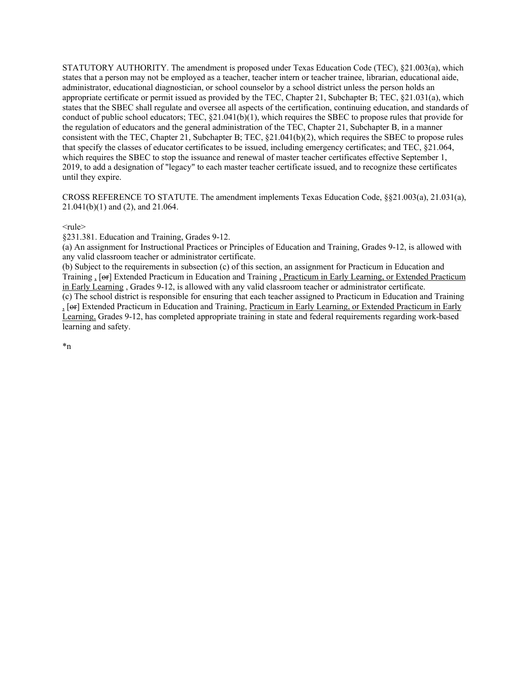CROSS REFERENCE TO STATUTE. The amendment implements Texas Education Code, §§21.003(a), 21.031(a), 21.041(b)(1) and (2), and 21.064.

## $<sub>rule</sub>$ </sub>

§231.381. Education and Training, Grades 9-12.

 (a) An assignment for Instructional Practices or Principles of Education and Training, Grades 9-12, is allowed with any valid classroom teacher or administrator certificate.

Training, [or] Extended Practicum in Education and Training, Practicum in Early Learning, or Extended Practicum (b) Subject to the requirements in subsection (c) of this section, an assignment for Practicum in Education and in Early Learning , Grades 9-12, is allowed with any valid classroom teacher or administrator certificate.

Learning, Grades 9-12, has completed appropriate training in state and federal requirements regarding work-based (c) The school district is responsible for ensuring that each teacher assigned to Practicum in Education and Training <sub>1</sub> [or] Extended Practicum in Education and Training, Practicum in Early Learning, or Extended Practicum in Early learning and safety.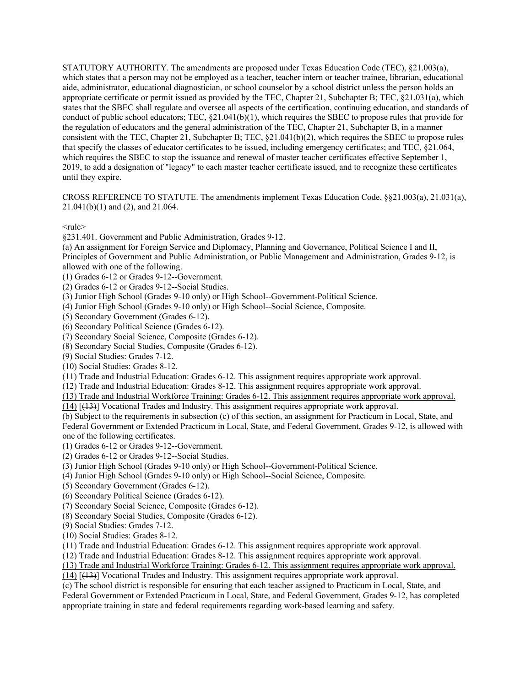CROSS REFERENCE TO STATUTE. The amendments implement Texas Education Code, §§21.003(a), 21.031(a), 21.041(b)(1) and (2), and 21.064.

 $<sub>rule</sub>$ </sub>

§231.401. Government and Public Administration, Grades 9-12.

(a) An assignment for Foreign Service and Diplomacy, Planning and Governance, Political Science I and II, Principles of Government and Public Administration, or Public Management and Administration, Grades 9-12, is allowed with one of the following.

(1) Grades 6-12 or Grades 9-12--Government.

(2) Grades 6-12 or Grades 9-12--Social Studies.

(3) Junior High School (Grades 9-10 only) or High School--Government-Political Science.

(4) Junior High School (Grades 9-10 only) or High School--Social Science, Composite.

(5) Secondary Government (Grades 6-12).

(6) Secondary Political Science (Grades 6-12).

(7) Secondary Social Science, Composite (Grades 6-12).

(8) Secondary Social Studies, Composite (Grades 6-12).

(9) Social Studies: Grades 7-12.

(10) Social Studies: Grades 8-12.

(11) Trade and Industrial Education: Grades 6-12. This assignment requires appropriate work approval.

(12) Trade and Industrial Education: Grades 8-12. This assignment requires appropriate work approval.

(13) Trade and Industrial Workforce Training: Grades 6-12. This assignment requires appropriate work approval.

(14) [(13)] Vocational Trades and Industry. This assignment requires appropriate work approval.

(b) Subject to the requirements in subsection (c) of this section, an assignment for Practicum in Local, State, and Federal Government or Extended Practicum in Local, State, and Federal Government, Grades 9-12, is allowed with one of the following certificates.

(1) Grades 6-12 or Grades 9-12--Government.

(2) Grades 6-12 or Grades 9-12--Social Studies.

(3) Junior High School (Grades 9-10 only) or High School--Government-Political Science.

(4) Junior High School (Grades 9-10 only) or High School--Social Science, Composite.

(5) Secondary Government (Grades 6-12).

(6) Secondary Political Science (Grades 6-12).

(7) Secondary Social Science, Composite (Grades 6-12).

(8) Secondary Social Studies, Composite (Grades 6-12).

(9) Social Studies: Grades 7-12.

(10) Social Studies: Grades 8-12.

(11) Trade and Industrial Education: Grades 6-12. This assignment requires appropriate work approval.

(12) Trade and Industrial Education: Grades 8-12. This assignment requires appropriate work approval.

(13) Trade and Industrial Workforce Training: Grades 6-12. This assignment requires appropriate work approval.

(14) [(13)] Vocational Trades and Industry. This assignment requires appropriate work approval.

(c) The school district is responsible for ensuring that each teacher assigned to Practicum in Local, State, and Federal Government or Extended Practicum in Local, State, and Federal Government, Grades 9-12, has completed appropriate training in state and federal requirements regarding work-based learning and safety.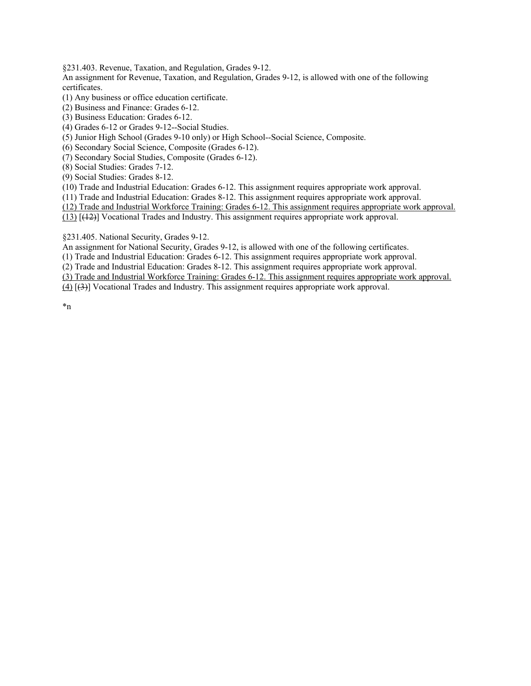§231.403. Revenue, Taxation, and Regulation, Grades 9-12.

An assignment for Revenue, Taxation, and Regulation, Grades 9-12, is allowed with one of the following certificates.

(1) Any business or office education certificate.

(2) Business and Finance: Grades 6-12.

(3) Business Education: Grades 6-12.

(4) Grades 6-12 or Grades 9-12--Social Studies.

(5) Junior High School (Grades 9-10 only) or High School--Social Science, Composite.

(6) Secondary Social Science, Composite (Grades 6-12).

(7) Secondary Social Studies, Composite (Grades 6-12).

(8) Social Studies: Grades 7-12.

(9) Social Studies: Grades 8-12.

(10) Trade and Industrial Education: Grades 6-12. This assignment requires appropriate work approval.

(11) Trade and Industrial Education: Grades 8-12. This assignment requires appropriate work approval.

(12) Trade and Industrial Workforce Training: Grades 6-12. This assignment requires appropriate work approval.

(13) [(12)] Vocational Trades and Industry. This assignment requires appropriate work approval.

§231.405. National Security, Grades 9-12.

An assignment for National Security, Grades 9-12, is allowed with one of the following certificates.

(1) Trade and Industrial Education: Grades 6-12. This assignment requires appropriate work approval.

(2) Trade and Industrial Education: Grades 8-12. This assignment requires appropriate work approval.

(3) Trade and Industrial Workforce Training: Grades 6-12. This assignment requires appropriate work approval.

(4) [(3)] Vocational Trades and Industry. This assignment requires appropriate work approval.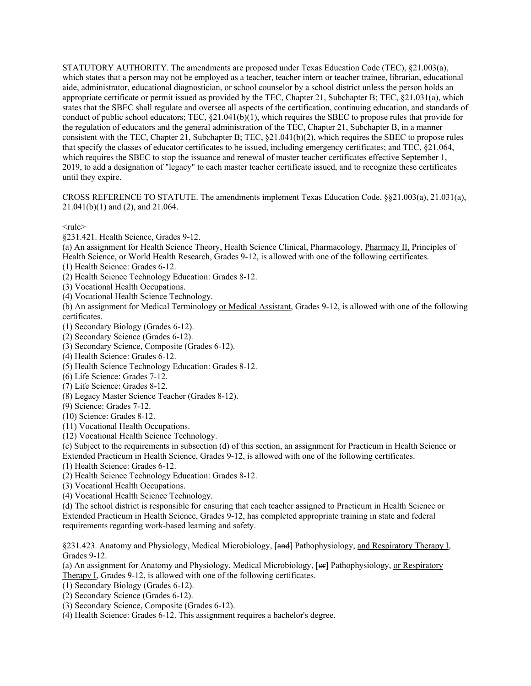CROSS REFERENCE TO STATUTE. The amendments implement Texas Education Code, §§21.003(a), 21.031(a), 21.041(b)(1) and (2), and 21.064.

 $<sub>rule</sub>$ </sub>

§231.421. Health Science, Grades 9-12.

 Health Science, or World Health Research, Grades 9-12, is allowed with one of the following certificates. (a) An assignment for Health Science Theory, Health Science Clinical, Pharmacology, Pharmacy II, Principles of

(1) Health Science: Grades 6-12.

(2) Health Science Technology Education: Grades 8-12.

(3) Vocational Health Occupations.

(4) Vocational Health Science Technology.

(b) An assignment for Medical Terminology or Medical Assistant, Grades 9-12, is allowed with one of the following certificates.

(1) Secondary Biology (Grades 6-12).

(2) Secondary Science (Grades 6-12).

(3) Secondary Science, Composite (Grades 6-12).

(4) Health Science: Grades 6-12.

(5) Health Science Technology Education: Grades 8-12.

(6) Life Science: Grades 7-12.

(7) Life Science: Grades 8-12.

(8) Legacy Master Science Teacher (Grades 8-12).

(9) Science: Grades 7-12.

(10) Science: Grades 8-12.

(11) Vocational Health Occupations.

(12) Vocational Health Science Technology.

(c) Subject to the requirements in subsection (d) of this section, an assignment for Practicum in Health Science or Extended Practicum in Health Science, Grades 9-12, is allowed with one of the following certificates.

(1) Health Science: Grades 6-12.

(2) Health Science Technology Education: Grades 8-12.

(3) Vocational Health Occupations.

(4) Vocational Health Science Technology.

(d) The school district is responsible for ensuring that each teacher assigned to Practicum in Health Science or Extended Practicum in Health Science, Grades 9-12, has completed appropriate training in state and federal requirements regarding work-based learning and safety.

§231.423. Anatomy and Physiology, Medical Microbiology, [and] Pathophysiology, and Respiratory Therapy I, Grades 9-12.

(a) An assignment for Anatomy and Physiology, Medical Microbiology, [ $\leftrightarrow$ ] Pathophysiology, or Respiratory Therapy I, Grades 9-12, is allowed with one of the following certificates.

(1) Secondary Biology (Grades 6-12).

(2) Secondary Science (Grades 6-12).

(3) Secondary Science, Composite (Grades 6-12).

(4) Health Science: Grades 6-12. This assignment requires a bachelor's degree.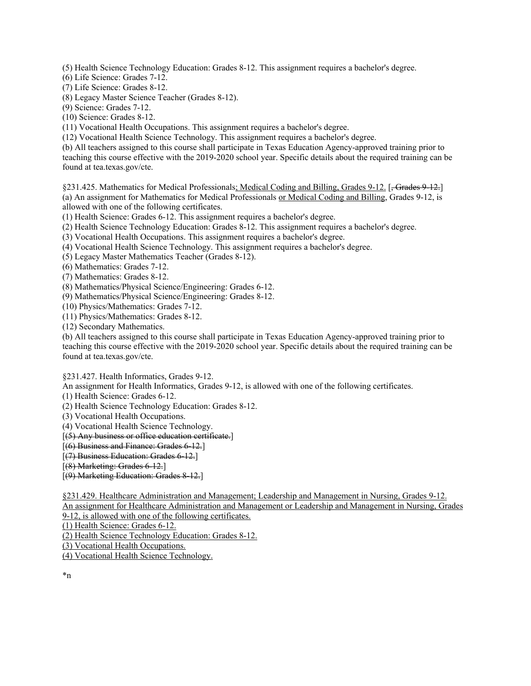(5) Health Science Technology Education: Grades 8-12. This assignment requires a bachelor's degree.

(6) Life Science: Grades 7-12.

(7) Life Science: Grades 8-12.

(8) Legacy Master Science Teacher (Grades 8-12).

(9) Science: Grades 7-12.

(10) Science: Grades 8-12.

(11) Vocational Health Occupations. This assignment requires a bachelor's degree.

(12) Vocational Health Science Technology. This assignment requires a bachelor's degree.

(b) All teachers assigned to this course shall participate in Texas Education Agency-approved training prior to teaching this course effective with the 2019-2020 school year. Specific details about the required training can be found at [tea.texas.gov/cte](https://tea.texas.gov/cte).

§231.425. Mathematics for Medical Professionals; Medical Coding and Billing, Grades 9-12. [<del>, Grades 9-12.</del>] (a) An assignment for Mathematics for Medical Professionals or Medical Coding and Billing, Grades 9-12, is allowed with one of the following certificates.

(1) Health Science: Grades 6-12. This assignment requires a bachelor's degree.

(2) Health Science Technology Education: Grades 8-12. This assignment requires a bachelor's degree.

(3) Vocational Health Occupations. This assignment requires a bachelor's degree.

(4) Vocational Health Science Technology. This assignment requires a bachelor's degree.

(5) Legacy Master Mathematics Teacher (Grades 8-12).

(6) Mathematics: Grades 7-12.

(7) Mathematics: Grades 8-12.

(8) Mathematics/Physical Science/Engineering: Grades 6-12.

(9) Mathematics/Physical Science/Engineering: Grades 8-12.

(10) Physics/Mathematics: Grades 7-12.

(11) Physics/Mathematics: Grades 8-12.

(12) Secondary Mathematics.

(b) All teachers assigned to this course shall participate in Texas Education Agency-approved training prior to teaching this course effective with the 2019-2020 school year. Specific details about the required training can be found at [tea.texas.gov/cte](https://tea.texas.gov/cte).

§231.427. Health Informatics, Grades 9-12.

An assignment for Health Informatics, Grades 9-12, is allowed with one of the following certificates.

(1) Health Science: Grades 6-12.

(2) Health Science Technology Education: Grades 8-12.

(3) Vocational Health Occupations.

(4) Vocational Health Science Technology.

[(5) Any business or office education certificate.]

[(6) Business and Finance: Grades 6-12.]

[(7) Business Education: Grades 6-12.]

[(8) Marketing: Grades 6-12.]

[(9) Marketing Education: Grades 8-12.]

§231.429. Healthcare Administration and Management; Leadership and Management in Nursing, Grades 9-12.

9-12, is allowed with one of the following certificates. An assignment for Healthcare Administration and Management or Leadership and Management in Nursing, Grades

(1) Health Science: Grades 6-12.

(2) Health Science Technology Education: Grades 8-12.

(3) Vocational Health Occupations.

(4) Vocational Health Science Technology.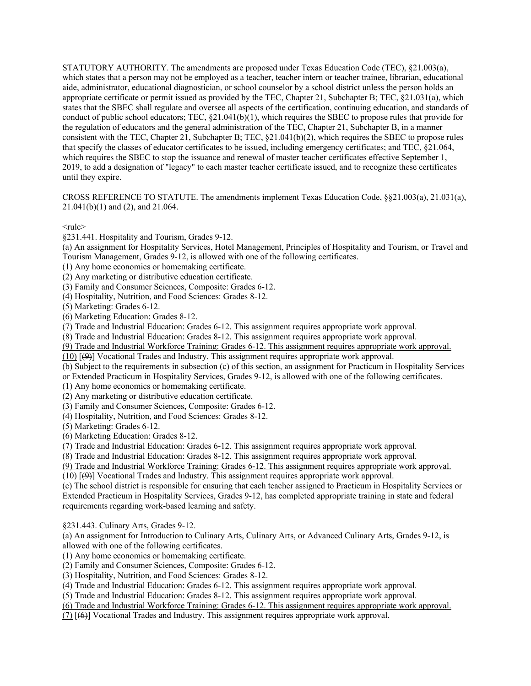CROSS REFERENCE TO STATUTE. The amendments implement Texas Education Code, §§21.003(a), 21.031(a), 21.041(b)(1) and (2), and 21.064.

 $<sub>rule</sub>$ </sub>

§231.441. Hospitality and Tourism, Grades 9-12.

(a) An assignment for Hospitality Services, Hotel Management, Principles of Hospitality and Tourism, or Travel and Tourism Management, Grades 9-12, is allowed with one of the following certificates.

(1) Any home economics or homemaking certificate.

(2) Any marketing or distributive education certificate.

(3) Family and Consumer Sciences, Composite: Grades 6-12.

(4) Hospitality, Nutrition, and Food Sciences: Grades 8-12.

(5) Marketing: Grades 6-12.

(6) Marketing Education: Grades 8-12.

(7) Trade and Industrial Education: Grades 6-12. This assignment requires appropriate work approval.

(8) Trade and Industrial Education: Grades 8-12. This assignment requires appropriate work approval.

(9) Trade and Industrial Workforce Training: Grades 6-12. This assignment requires appropriate work approval.

(10) [(9)] Vocational Trades and Industry. This assignment requires appropriate work approval.

 or Extended Practicum in Hospitality Services, Grades 9-12, is allowed with one of the following certificates. (b) Subject to the requirements in subsection (c) of this section, an assignment for Practicum in Hospitality Services

(1) Any home economics or homemaking certificate.

(2) Any marketing or distributive education certificate.

(3) Family and Consumer Sciences, Composite: Grades 6-12.

(4) Hospitality, Nutrition, and Food Sciences: Grades 8-12.

(5) Marketing: Grades 6-12.

(6) Marketing Education: Grades 8-12.

(7) Trade and Industrial Education: Grades 6-12. This assignment requires appropriate work approval.

(8) Trade and Industrial Education: Grades 8-12. This assignment requires appropriate work approval.

(9) Trade and Industrial Workforce Training: Grades 6-12. This assignment requires appropriate work approval.

(10) [(9)] Vocational Trades and Industry. This assignment requires appropriate work approval.

(c) The school district is responsible for ensuring that each teacher assigned to Practicum in Hospitality Services or Extended Practicum in Hospitality Services, Grades 9-12, has completed appropriate training in state and federal requirements regarding work-based learning and safety.

§231.443. Culinary Arts, Grades 9-12.

(a) An assignment for Introduction to Culinary Arts, Culinary Arts, or Advanced Culinary Arts, Grades 9-12, is allowed with one of the following certificates.

(1) Any home economics or homemaking certificate.

(2) Family and Consumer Sciences, Composite: Grades 6-12.

(3) Hospitality, Nutrition, and Food Sciences: Grades 8-12.

(4) Trade and Industrial Education: Grades 6-12. This assignment requires appropriate work approval.

(5) Trade and Industrial Education: Grades 8-12. This assignment requires appropriate work approval.

(6) Trade and Industrial Workforce Training: Grades 6-12. This assignment requires appropriate work approval.

(7) [(6)] Vocational Trades and Industry. This assignment requires appropriate work approval.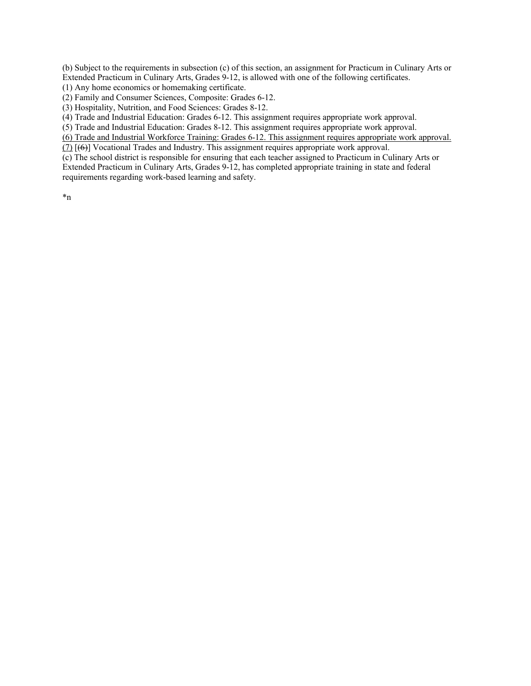Extended Practicum in Culinary Arts, Grades 9-12, is allowed with one of the following certificates. (b) Subject to the requirements in subsection (c) of this section, an assignment for Practicum in Culinary Arts or

(1) Any home economics or homemaking certificate.

(2) Family and Consumer Sciences, Composite: Grades 6-12.

(3) Hospitality, Nutrition, and Food Sciences: Grades 8-12.

(4) Trade and Industrial Education: Grades 6-12. This assignment requires appropriate work approval.

(5) Trade and Industrial Education: Grades 8-12. This assignment requires appropriate work approval.

(6) Trade and Industrial Workforce Training: Grades 6-12. This assignment requires appropriate work approval.

(7) [(6)] Vocational Trades and Industry. This assignment requires appropriate work approval.

(c) The school district is responsible for ensuring that each teacher assigned to Practicum in Culinary Arts or Extended Practicum in Culinary Arts, Grades 9-12, has completed appropriate training in state and federal requirements regarding work-based learning and safety.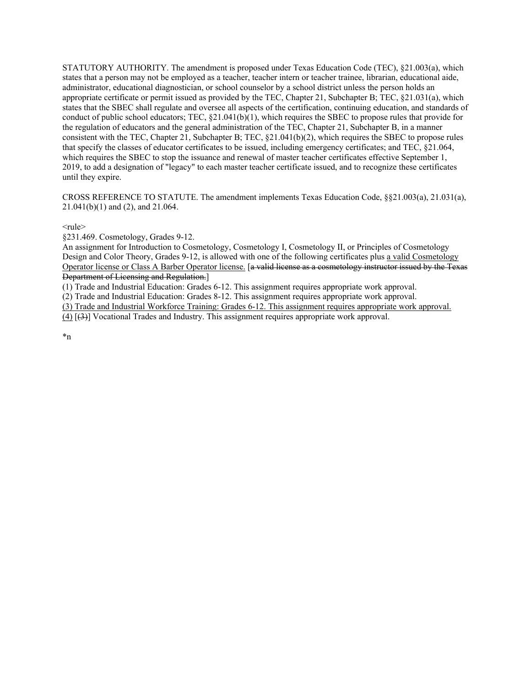CROSS REFERENCE TO STATUTE. The amendment implements Texas Education Code, §§21.003(a), 21.031(a), 21.041(b)(1) and (2), and 21.064.

 $<sub>rule</sub>$ </sub>

§231.469. Cosmetology, Grades 9-12.

Design and Color Theory, Grades 9-12, is allowed with one of the following certificates plus a valid Cosmetology An assignment for Introduction to Cosmetology, Cosmetology I, Cosmetology II, or Principles of Cosmetology Operator license or Class A Barber Operator license. [a valid license as a cosmetology instructor issued by the Texas Department of Licensing and Regulation.

(1) Trade and Industrial Education: Grades 6-12. This assignment requires appropriate work approval.

(2) Trade and Industrial Education: Grades 8-12. This assignment requires appropriate work approval.

(3) Trade and Industrial Workforce Training: Grades 6-12. This assignment requires appropriate work approval.

(4) [(3)] Vocational Trades and Industry. This assignment requires appropriate work approval.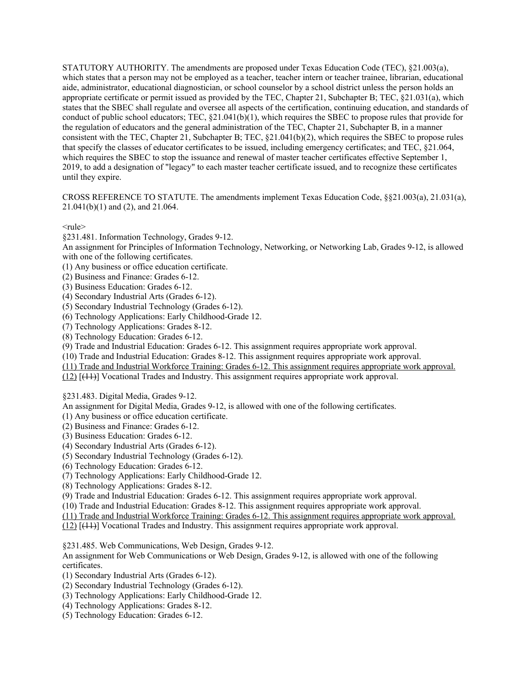CROSS REFERENCE TO STATUTE. The amendments implement Texas Education Code, §§21.003(a), 21.031(a), 21.041(b)(1) and (2), and 21.064.

 $<sub>rule</sub>$ </sub>

§231.481. Information Technology, Grades 9-12.

An assignment for Principles of Information Technology, Networking, or Networking Lab, Grades 9-12, is allowed with one of the following certificates.

(1) Any business or office education certificate.

- (2) Business and Finance: Grades 6-12.
- (3) Business Education: Grades 6-12.

(4) Secondary Industrial Arts (Grades 6-12).

(5) Secondary Industrial Technology (Grades 6-12).

(6) Technology Applications: Early Childhood-Grade 12.

(7) Technology Applications: Grades 8-12.

(8) Technology Education: Grades 6-12.

(9) Trade and Industrial Education: Grades 6-12. This assignment requires appropriate work approval.

(10) Trade and Industrial Education: Grades 8-12. This assignment requires appropriate work approval.

(11) Trade and Industrial Workforce Training: Grades 6-12. This assignment requires appropriate work approval.

(12) [(11)] Vocational Trades and Industry. This assignment requires appropriate work approval.

§231.483. Digital Media, Grades 9-12.

An assignment for Digital Media, Grades 9-12, is allowed with one of the following certificates.

(1) Any business or office education certificate.

(2) Business and Finance: Grades 6-12.

(3) Business Education: Grades 6-12.

(4) Secondary Industrial Arts (Grades 6-12).

(5) Secondary Industrial Technology (Grades 6-12).

(6) Technology Education: Grades 6-12.

(7) Technology Applications: Early Childhood-Grade 12.

(8) Technology Applications: Grades 8-12.

(9) Trade and Industrial Education: Grades 6-12. This assignment requires appropriate work approval.

(10) Trade and Industrial Education: Grades 8-12. This assignment requires appropriate work approval.

(11) Trade and Industrial Workforce Training: Grades 6-12. This assignment requires appropriate work approval.

(12) [(11)] Vocational Trades and Industry. This assignment requires appropriate work approval.

§231.485. Web Communications, Web Design, Grades 9-12.

 An assignment for Web Communications or Web Design, Grades 9-12, is allowed with one of the following certificates.

(1) Secondary Industrial Arts (Grades 6-12).

(2) Secondary Industrial Technology (Grades 6-12).

(3) Technology Applications: Early Childhood-Grade 12.

(4) Technology Applications: Grades 8-12.

(5) Technology Education: Grades 6-12.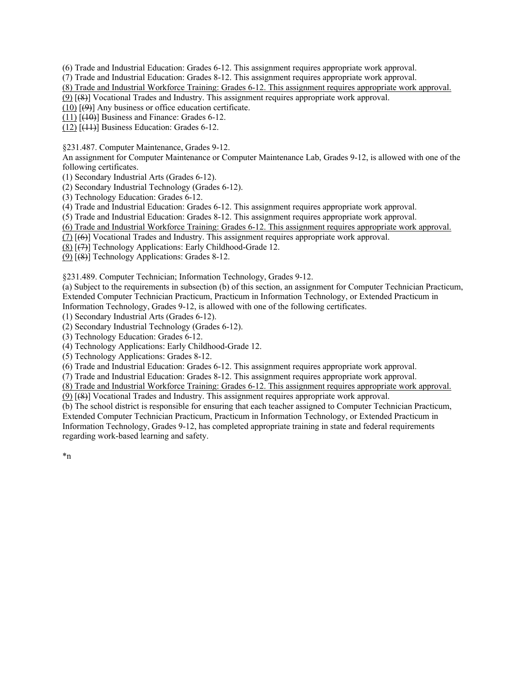(6) Trade and Industrial Education: Grades 6-12. This assignment requires appropriate work approval.

(7) Trade and Industrial Education: Grades 8-12. This assignment requires appropriate work approval.

(8) Trade and Industrial Workforce Training: Grades 6-12. This assignment requires appropriate work approval.

(9) [(8)] Vocational Trades and Industry. This assignment requires appropriate work approval.

 $(10)$   $[ (9) ]$  Any business or office education certificate.

 $(11)$   $(10)$ ] Business and Finance: Grades 6-12.

 $(12)$  [ $(11)$ ] Business Education: Grades 6-12.

§231.487. Computer Maintenance, Grades 9-12.

An assignment for Computer Maintenance or Computer Maintenance Lab, Grades 9-12, is allowed with one of the following certificates.

(1) Secondary Industrial Arts (Grades 6-12).

(2) Secondary Industrial Technology (Grades 6-12).

(3) Technology Education: Grades 6-12.

(4) Trade and Industrial Education: Grades 6-12. This assignment requires appropriate work approval.

(5) Trade and Industrial Education: Grades 8-12. This assignment requires appropriate work approval.

(6) Trade and Industrial Workforce Training: Grades 6-12. This assignment requires appropriate work approval.

(7) [(6)] Vocational Trades and Industry. This assignment requires appropriate work approval.

 $(8)$  [ $(7)$ ] Technology Applications: Early Childhood-Grade 12.

(9) [(8)] Technology Applications: Grades 8-12.

§231.489. Computer Technician; Information Technology, Grades 9-12.

(a) Subject to the requirements in subsection (b) of this section, an assignment for Computer Technician Practicum, Extended Computer Technician Practicum, Practicum in Information Technology, or Extended Practicum in Information Technology, Grades 9-12, is allowed with one of the following certificates.

(1) Secondary Industrial Arts (Grades 6-12).

(2) Secondary Industrial Technology (Grades 6-12).

(3) Technology Education: Grades 6-12.

(4) Technology Applications: Early Childhood-Grade 12.

(5) Technology Applications: Grades 8-12.

(6) Trade and Industrial Education: Grades 6-12. This assignment requires appropriate work approval.

(7) Trade and Industrial Education: Grades 8-12. This assignment requires appropriate work approval.

(8) Trade and Industrial Workforce Training: Grades 6-12. This assignment requires appropriate work approval.

(9) [(8)] Vocational Trades and Industry. This assignment requires appropriate work approval.

(b) The school district is responsible for ensuring that each teacher assigned to Computer Technician Practicum, Extended Computer Technician Practicum, Practicum in Information Technology, or Extended Practicum in Information Technology, Grades 9-12, has completed appropriate training in state and federal requirements regarding work-based learning and safety.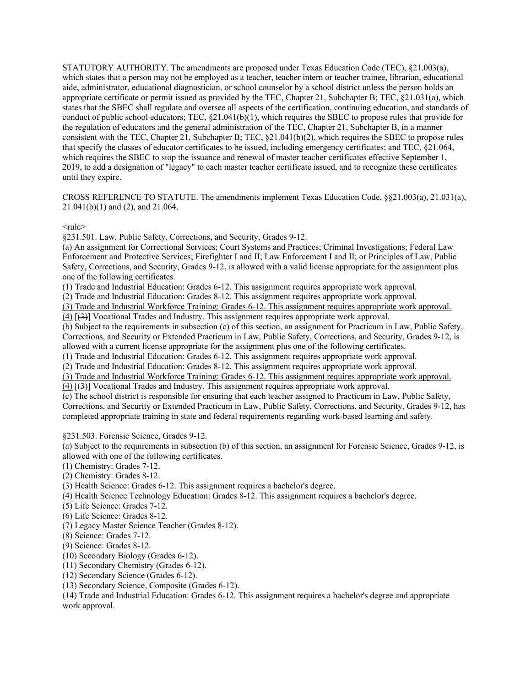CROSS REFERENCE TO STATUTE. The amendments implement Texas Education Code, §§21.003(a), 21.031(a), 21.041(b)(1) and (2), and 21.064.

 $<sub>rule</sub>$ </sub>

§231.501. Law, Public Safety, Corrections, and Security, Grades 9-12.

 Safety, Corrections, and Security, Grades 9-12, is allowed with a valid license appropriate for the assignment plus (a) An assignment for Correctional Services; Court Systems and Practices; Criminal Investigations; Federal Law Enforcement and Protective Services; Firefighter I and II; Law Enforcement I and II; or Principles of Law, Public one of the following certificates.

(1) Trade and Industrial Education: Grades 6-12. This assignment requires appropriate work approval.

(2) Trade and Industrial Education: Grades 8-12. This assignment requires appropriate work approval.

(3) Trade and Industrial Workforce Training: Grades 6-12. This assignment requires appropriate work approval.

(4) [(3)] Vocational Trades and Industry. This assignment requires appropriate work approval.

 Corrections, and Security or Extended Practicum in Law, Public Safety, Corrections, and Security, Grades 9-12, is (b) Subject to the requirements in subsection (c) of this section, an assignment for Practicum in Law, Public Safety, allowed with a current license appropriate for the assignment plus one of the following certificates.

(1) Trade and Industrial Education: Grades 6-12. This assignment requires appropriate work approval.

(2) Trade and Industrial Education: Grades 8-12. This assignment requires appropriate work approval.

(3) Trade and Industrial Workforce Training: Grades 6-12. This assignment requires appropriate work approval.  $(4)$   $(3)$ ] Vocational Trades and Industry. This assignment requires appropriate work approval.

 Corrections, and Security or Extended Practicum in Law, Public Safety, Corrections, and Security, Grades 9-12, has (c) The school district is responsible for ensuring that each teacher assigned to Practicum in Law, Public Safety, completed appropriate training in state and federal requirements regarding work-based learning and safety.

§231.503. Forensic Science, Grades 9-12.

(a) Subject to the requirements in subsection (b) of this section, an assignment for Forensic Science, Grades 9-12, is allowed with one of the following certificates.

(1) Chemistry: Grades 7-12.

(2) Chemistry: Grades 8-12.

(3) Health Science: Grades 6-12. This assignment requires a bachelor's degree.

(4) Health Science Technology Education: Grades 8-12. This assignment requires a bachelor's degree.

(5) Life Science: Grades 7-12.

(6) Life Science: Grades 8-12.

(7) Legacy Master Science Teacher (Grades 8-12). (8) Science: Grades 7-12.

(9) Science: Grades 8-12.

(10) Secondary Biology (Grades 6-12).

(11) Secondary Chemistry (Grades 6-12).

(12) Secondary Science (Grades 6-12).

(13) Secondary Science, Composite (Grades 6-12).

(14) Trade and Industrial Education: Grades 6-12. This assignment requires a bachelor's degree and appropriate work approval.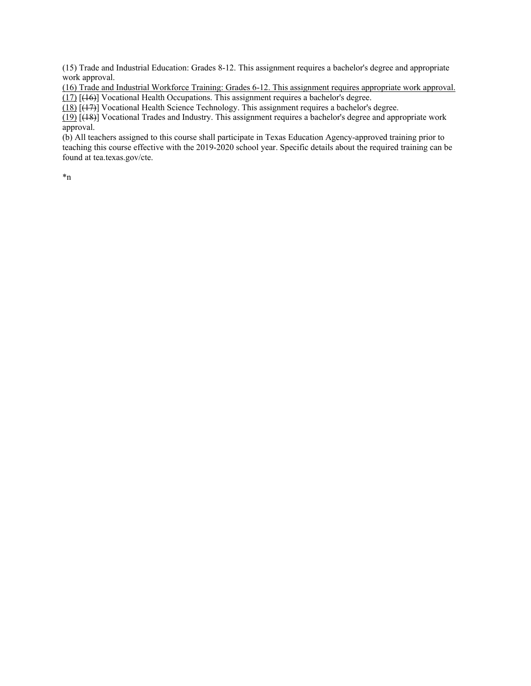(15) Trade and Industrial Education: Grades 8-12. This assignment requires a bachelor's degree and appropriate work approval.

(16) Trade and Industrial Workforce Training: Grades 6-12. This assignment requires appropriate work approval. (17) [(16)] Vocational Health Occupations. This assignment requires a bachelor's degree.

(18) [(17)] Vocational Health Science Technology. This assignment requires a bachelor's degree.

(19) [(18)] Vocational Trades and Industry. This assignment requires a bachelor's degree and appropriate work approval.

(b) All teachers assigned to this course shall participate in Texas Education Agency-approved training prior to teaching this course effective with the 2019-2020 school year. Specific details about the required training can be found at [tea.texas.gov/cte](https://tea.texas.gov/cte).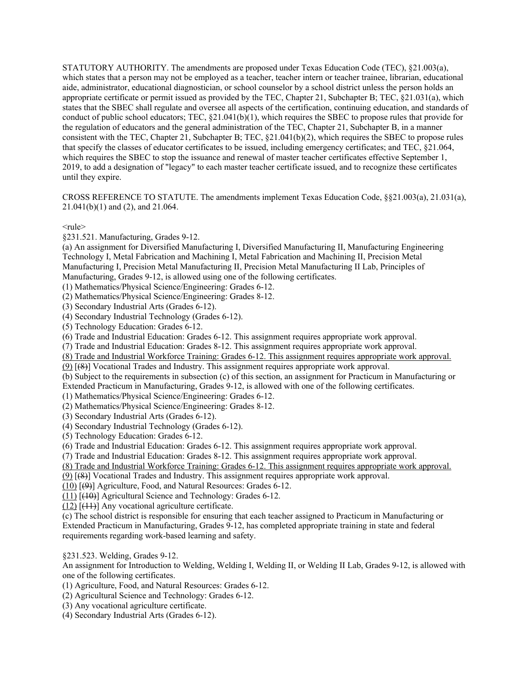CROSS REFERENCE TO STATUTE. The amendments implement Texas Education Code, §§21.003(a), 21.031(a), 21.041(b)(1) and (2), and 21.064.

 $<sub>rule</sub>$ </sub>

§231.521. Manufacturing, Grades 9-12.

 (a) An assignment for Diversified Manufacturing I, Diversified Manufacturing II, Manufacturing Engineering Technology I, Metal Fabrication and Machining I, Metal Fabrication and Machining II, Precision Metal Manufacturing I, Precision Metal Manufacturing II, Precision Metal Manufacturing II Lab, Principles of Manufacturing, Grades 9-12, is allowed using one of the following certificates.

(1) Mathematics/Physical Science/Engineering: Grades 6-12.

(2) Mathematics/Physical Science/Engineering: Grades 8-12.

(3) Secondary Industrial Arts (Grades 6-12).

(4) Secondary Industrial Technology (Grades 6-12).

(5) Technology Education: Grades 6-12.

(6) Trade and Industrial Education: Grades 6-12. This assignment requires appropriate work approval.

(7) Trade and Industrial Education: Grades 8-12. This assignment requires appropriate work approval.

(8) Trade and Industrial Workforce Training: Grades 6-12. This assignment requires appropriate work approval.

(9) [(8)] Vocational Trades and Industry. This assignment requires appropriate work approval.

(b) Subject to the requirements in subsection (c) of this section, an assignment for Practicum in Manufacturing or Extended Practicum in Manufacturing, Grades 9-12, is allowed with one of the following certificates.

(1) Mathematics/Physical Science/Engineering: Grades 6-12.

(2) Mathematics/Physical Science/Engineering: Grades 8-12.

(3) Secondary Industrial Arts (Grades 6-12).

(4) Secondary Industrial Technology (Grades 6-12).

(5) Technology Education: Grades 6-12.

(6) Trade and Industrial Education: Grades 6-12. This assignment requires appropriate work approval.

(7) Trade and Industrial Education: Grades 8-12. This assignment requires appropriate work approval.

(8) Trade and Industrial Workforce Training: Grades 6-12. This assignment requires appropriate work approval.

(9) [(8)] Vocational Trades and Industry. This assignment requires appropriate work approval.

(10) [(9)] Agriculture, Food, and Natural Resources: Grades 6-12.

 $(11)$   $[$ ( $\downarrow$ 0)] Agricultural Science and Technology: Grades 6-12.

 $(12)$  [ $(11)$ ] Any vocational agriculture certificate.

(c) The school district is responsible for ensuring that each teacher assigned to Practicum in Manufacturing or Extended Practicum in Manufacturing, Grades 9-12, has completed appropriate training in state and federal requirements regarding work-based learning and safety.

§231.523. Welding, Grades 9-12.

An assignment for Introduction to Welding, Welding I, Welding II, or Welding II Lab, Grades 9-12, is allowed with one of the following certificates.

(1) Agriculture, Food, and Natural Resources: Grades 6-12.

(2) Agricultural Science and Technology: Grades 6-12.

(3) Any vocational agriculture certificate.

(4) Secondary Industrial Arts (Grades 6-12).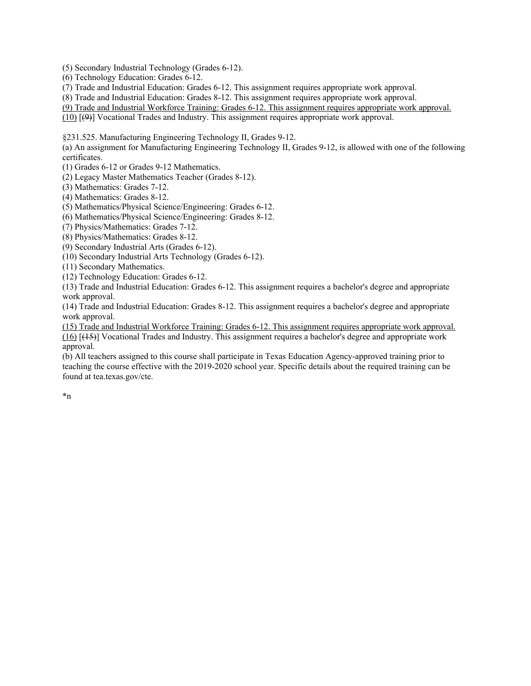(5) Secondary Industrial Technology (Grades 6-12).

(6) Technology Education: Grades 6-12.

(7) Trade and Industrial Education: Grades 6-12. This assignment requires appropriate work approval.

(8) Trade and Industrial Education: Grades 8-12. This assignment requires appropriate work approval.

(9) Trade and Industrial Workforce Training: Grades 6-12. This assignment requires appropriate work approval.

(10) [(9)] Vocational Trades and Industry. This assignment requires appropriate work approval.

§231.525. Manufacturing Engineering Technology II, Grades 9-12.

(a) An assignment for Manufacturing Engineering Technology II, Grades 9-12, is allowed with one of the following certificates.

(1) Grades 6-12 or Grades 9-12 Mathematics.

(2) Legacy Master Mathematics Teacher (Grades 8-12).

(3) Mathematics: Grades 7-12.

(4) Mathematics: Grades 8-12.

(5) Mathematics/Physical Science/Engineering: Grades 6-12.

(6) Mathematics/Physical Science/Engineering: Grades 8-12.

(7) Physics/Mathematics: Grades 7-12.

(8) Physics/Mathematics: Grades 8-12.

(9) Secondary Industrial Arts (Grades 6-12).

(10) Secondary Industrial Arts Technology (Grades 6-12).

(11) Secondary Mathematics.

(12) Technology Education: Grades 6-12.

(13) Trade and Industrial Education: Grades 6-12. This assignment requires a bachelor's degree and appropriate work approval.

(14) Trade and Industrial Education: Grades 8-12. This assignment requires a bachelor's degree and appropriate work approval.

(15) Trade and Industrial Workforce Training: Grades 6-12. This assignment requires appropriate work approval. (16) [(15)] Vocational Trades and Industry. This assignment requires a bachelor's degree and appropriate work approval.

(b) All teachers assigned to this course shall participate in Texas Education Agency-approved training prior to teaching the course effective with the 2019-2020 school year. Specific details about the required training can be found at [tea.texas.gov/cte](https://tea.texas.gov/cte).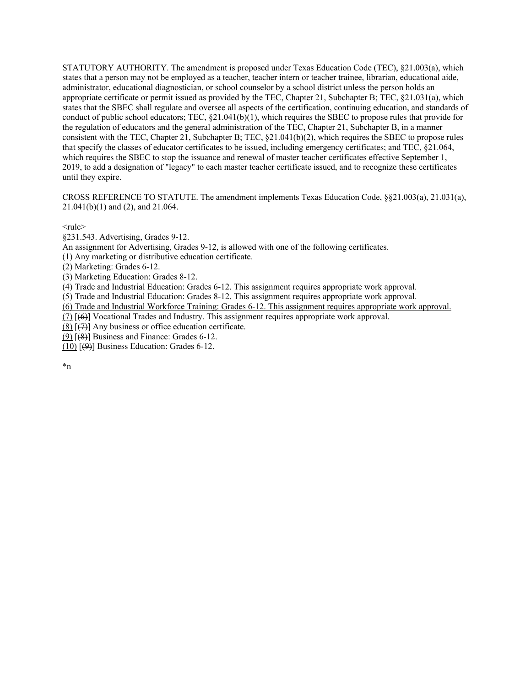CROSS REFERENCE TO STATUTE. The amendment implements Texas Education Code, §§21.003(a), 21.031(a), 21.041(b)(1) and (2), and 21.064.

 $<sub>rule</sub>$ </sub>

§231.543. Advertising, Grades 9-12.

An assignment for Advertising, Grades 9-12, is allowed with one of the following certificates.

(1) Any marketing or distributive education certificate.

(2) Marketing: Grades 6-12.

(3) Marketing Education: Grades 8-12.

(4) Trade and Industrial Education: Grades 6-12. This assignment requires appropriate work approval.

(5) Trade and Industrial Education: Grades 8-12. This assignment requires appropriate work approval.

(6) Trade and Industrial Workforce Training: Grades 6-12. This assignment requires appropriate work approval.

(7) [(6)] Vocational Trades and Industry. This assignment requires appropriate work approval.

 $(8)$   $(7)$ ] Any business or office education certificate.

(9) [(8)] Business and Finance: Grades 6-12.

(10)  $[\Theta]$  Business Education: Grades 6-12.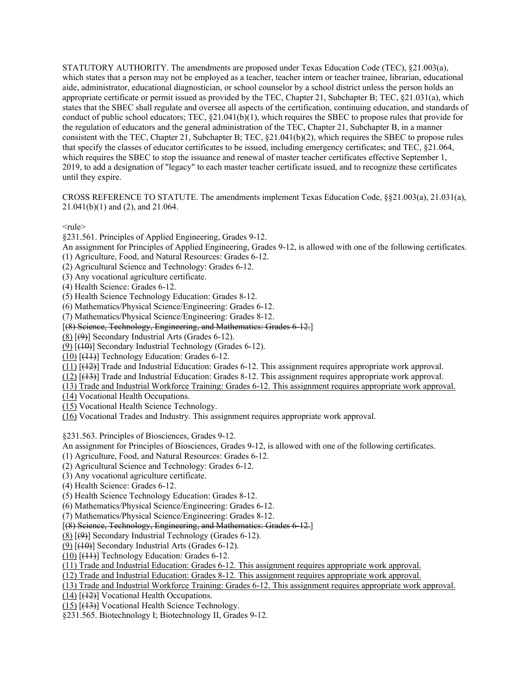CROSS REFERENCE TO STATUTE. The amendments implement Texas Education Code, §§21.003(a), 21.031(a), 21.041(b)(1) and (2), and 21.064.

 $<sub>rule</sub>$ </sub>

§231.561. Principles of Applied Engineering, Grades 9-12.

An assignment for Principles of Applied Engineering, Grades 9-12, is allowed with one of the following certificates.

- (1) Agriculture, Food, and Natural Resources: Grades 6-12.
- (2) Agricultural Science and Technology: Grades 6-12.
- (3) Any vocational agriculture certificate.
- (4) Health Science: Grades 6-12.
- (5) Health Science Technology Education: Grades 8-12.
- (6) Mathematics/Physical Science/Engineering: Grades 6-12.
- (7) Mathematics/Physical Science/Engineering: Grades 8-12.
- [(8) Science, Technology, Engineering, and Mathematics: Grades 6-12.]
- (8) [(9)] Secondary Industrial Arts (Grades 6-12).
- (9)  $[40]$  Secondary Industrial Technology (Grades 6-12).
- (10) [(11)] Technology Education: Grades 6-12.
- (11) [(12)] Trade and Industrial Education: Grades 6-12. This assignment requires appropriate work approval.
- (12) [(13)] Trade and Industrial Education: Grades 8-12. This assignment requires appropriate work approval.
- (13) Trade and Industrial Workforce Training: Grades 6-12. This assignment requires appropriate work approval.
- (14) Vocational Health Occupations.
- (15) Vocational Health Science Technology.
- (16) Vocational Trades and Industry. This assignment requires appropriate work approval.

§231.563. Principles of Biosciences, Grades 9-12.

An assignment for Principles of Biosciences, Grades 9-12, is allowed with one of the following certificates.

- (1) Agriculture, Food, and Natural Resources: Grades 6-12.
- (2) Agricultural Science and Technology: Grades 6-12.
- (3) Any vocational agriculture certificate.
- (4) Health Science: Grades 6-12.
- (5) Health Science Technology Education: Grades 8-12.
- (6) Mathematics/Physical Science/Engineering: Grades 6-12.
- (7) Mathematics/Physical Science/Engineering: Grades 8-12.
- [(8) Science, Technology, Engineering, and Mathematics: Grades 6-12.]
- $(8)$  [ $(9)$ ] Secondary Industrial Technology (Grades 6-12).
- $(9)$  [ $(10)$ ] Secondary Industrial Arts (Grades 6-12).
- $(10)$   $[$ ( $]$  $+1$  $]$  $]$  Technology Education: Grades 6-12.
- (11) Trade and Industrial Education: Grades 6-12. This assignment requires appropriate work approval.
- (12) Trade and Industrial Education: Grades 8-12. This assignment requires appropriate work approval.
- (13) Trade and Industrial Workforce Training: Grades 6-12. This assignment requires appropriate work approval.
- $(14)$  [ $(12)$ ] Vocational Health Occupations.
- (15) [(13)] Vocational Health Science Technology.
- §231.565. Biotechnology I; Biotechnology II, Grades 9-12.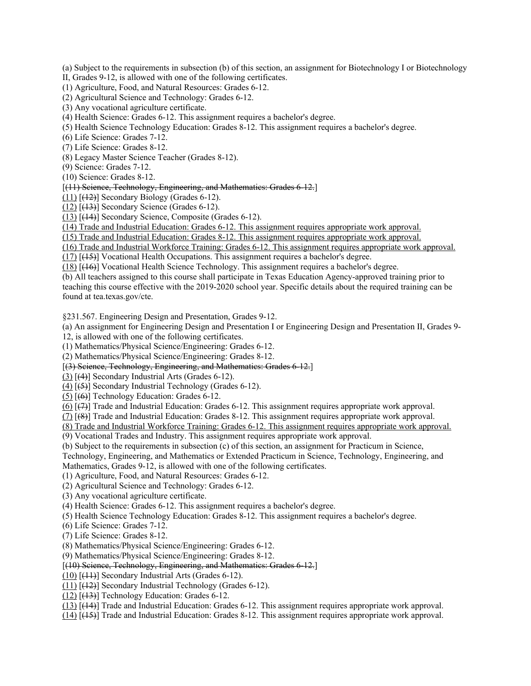(a) Subject to the requirements in subsection (b) of this section, an assignment for Biotechnology I or Biotechnology

II, Grades 9-12, is allowed with one of the following certificates.

(1) Agriculture, Food, and Natural Resources: Grades 6-12.

(2) Agricultural Science and Technology: Grades 6-12.

(3) Any vocational agriculture certificate.

(4) Health Science: Grades 6-12. This assignment requires a bachelor's degree.

(5) Health Science Technology Education: Grades 8-12. This assignment requires a bachelor's degree.

(6) Life Science: Grades 7-12.

(7) Life Science: Grades 8-12.

(8) Legacy Master Science Teacher (Grades 8-12). (9) Science: Grades 7-12.

(10) Science: Grades 8-12.

[(11) Science, Technology, Engineering, and Mathematics: Grades 6-12.]

 $(11)$   $[$ ( $+2$ )</sub> $]$  Secondary Biology (Grades 6-12).

 $(12)$   $[$ ( $+3$ ) $]$  Secondary Science (Grades 6-12).

(13) [(14)] Secondary Science, Composite (Grades 6-12).

(14) Trade and Industrial Education: Grades 6-12. This assignment requires appropriate work approval.

(15) Trade and Industrial Education: Grades 8-12. This assignment requires appropriate work approval.

(16) Trade and Industrial Workforce Training: Grades 6-12. This assignment requires appropriate work approval.

(17) [(15)] Vocational Health Occupations. This assignment requires a bachelor's degree.

(18) [(16)] Vocational Health Science Technology. This assignment requires a bachelor's degree.

(b) All teachers assigned to this course shall participate in Texas Education Agency-approved training prior to teaching this course effective with the 2019-2020 school year. Specific details about the required training can be found at [tea.texas.gov/cte](https://tea.texas.gov/cte).

§231.567. Engineering Design and Presentation, Grades 9-12.

(a) An assignment for Engineering Design and Presentation I or Engineering Design and Presentation II, Grades 9-

12, is allowed with one of the following certificates.

(1) Mathematics/Physical Science/Engineering: Grades 6-12.

(2) Mathematics/Physical Science/Engineering: Grades 8-12.

[(3) Science, Technology, Engineering, and Mathematics: Grades 6-12.]

(3) [(4)] Secondary Industrial Arts (Grades 6-12).

 $(4)$  [ $(5)$ ] Secondary Industrial Technology (Grades 6-12).

 $(5)$   $[66]$  Technology Education: Grades 6-12.

 $(6)$   $(\overline{7})$  Trade and Industrial Education: Grades 6-12. This assignment requires appropriate work approval.

 $(7)$   $(8)$  Trade and Industrial Education: Grades 8-12. This assignment requires appropriate work approval.

(8) Trade and Industrial Workforce Training: Grades 6-12. This assignment requires appropriate work approval.

(9) Vocational Trades and Industry. This assignment requires appropriate work approval.

(b) Subject to the requirements in subsection (c) of this section, an assignment for Practicum in Science,

 Mathematics, Grades 9-12, is allowed with one of the following certificates. Technology, Engineering, and Mathematics or Extended Practicum in Science, Technology, Engineering, and

(1) Agriculture, Food, and Natural Resources: Grades 6-12.

(2) Agricultural Science and Technology: Grades 6-12.

(3) Any vocational agriculture certificate.

(4) Health Science: Grades 6-12. This assignment requires a bachelor's degree.

(5) Health Science Technology Education: Grades 8-12. This assignment requires a bachelor's degree.

(6) Life Science: Grades 7-12.

(7) Life Science: Grades 8-12.

(7) Life Science: Grades 8-12. (8) Mathematics/Physical Science/Engineering: Grades 6-12.

(9) Mathematics/Physical Science/Engineering: Grades 8-12.

[(10) Science, Technology, Engineering, and Mathematics: Grades 6-12.]

(10) [(11)] Secondary Industrial Arts (Grades 6-12).

(11) [(12)] Secondary Industrial Technology (Grades 6-12).

(12) [(13)] Technology Education: Grades 6-12.

(13) [(14)] Trade and Industrial Education: Grades 6-12. This assignment requires appropriate work approval.

(14) [(15)] Trade and Industrial Education: Grades 8-12. This assignment requires appropriate work approval.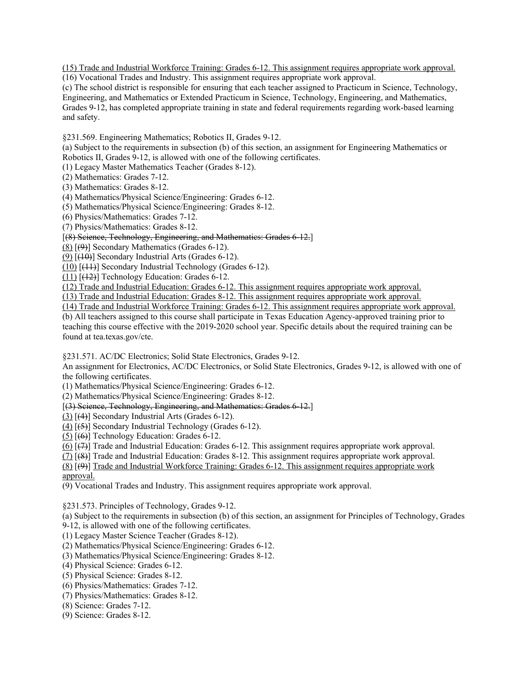(15) Trade and Industrial Workforce Training: Grades 6-12. This assignment requires appropriate work approval.

(16) Vocational Trades and Industry. This assignment requires appropriate work approval.

(c) The school district is responsible for ensuring that each teacher assigned to Practicum in Science, Technology, Engineering, and Mathematics or Extended Practicum in Science, Technology, Engineering, and Mathematics, Grades 9-12, has completed appropriate training in state and federal requirements regarding work-based learning and safety.

§231.569. Engineering Mathematics; Robotics II, Grades 9-12.

(a) Subject to the requirements in subsection (b) of this section, an assignment for Engineering Mathematics or Robotics II, Grades 9-12, is allowed with one of the following certificates.

(1) Legacy Master Mathematics Teacher (Grades 8-12).

(2) Mathematics: Grades 7-12.

(3) Mathematics: Grades 8-12.

(4) Mathematics/Physical Science/Engineering: Grades 6-12.

(5) Mathematics/Physical Science/Engineering: Grades 8-12.

(6) Physics/Mathematics: Grades 7-12.

(7) Physics/Mathematics: Grades 8-12.

## [(8) Science, Technology, Engineering, and Mathematics: Grades 6-12.]

(8) [(9)] Secondary Mathematics (Grades 6-12).

 $(9)$   $[$ ( $\overline{10}$ )] Secondary Industrial Arts (Grades 6-12).

(10) [(11)] Secondary Industrial Technology (Grades 6-12).

(11) [(12)] Technology Education: Grades 6-12.

(12) Trade and Industrial Education: Grades 6-12. This assignment requires appropriate work approval.

(13) Trade and Industrial Education: Grades 8-12. This assignment requires appropriate work approval.

(14) Trade and Industrial Workforce Training: Grades 6-12. This assignment requires appropriate work approval.

(b) All teachers assigned to this course shall participate in Texas Education Agency-approved training prior to teaching this course effective with the 2019-2020 school year. Specific details about the required training can be found at [tea.texas.gov/cte](https://tea.texas.gov/cte).

§231.571. AC/DC Electronics; Solid State Electronics, Grades 9-12.

 An assignment for Electronics, AC/DC Electronics, or Solid State Electronics, Grades 9-12, is allowed with one of the following certificates.

(1) Mathematics/Physical Science/Engineering: Grades 6-12.

(2) Mathematics/Physical Science/Engineering: Grades 8-12.

[(3) Science, Technology, Engineering, and Mathematics: Grades 6-12.]

(3) [(4)] Secondary Industrial Arts (Grades 6-12).

 $(4)$  [ $(5)$ ] Secondary Industrial Technology (Grades 6-12).

 $(5)$  [ $(6)$ ] Technology Education: Grades 6-12.

 $(6)$   $(\overline{7})$  Trade and Industrial Education: Grades 6-12. This assignment requires appropriate work approval.

 $(7)$   $(8)$ ] Trade and Industrial Education: Grades 8-12. This assignment requires appropriate work approval.

 (8) [(9)] Trade and Industrial Workforce Training: Grades 6-12. This assignment requires appropriate work approval.

(9) Vocational Trades and Industry. This assignment requires appropriate work approval.

§231.573. Principles of Technology, Grades 9-12.

(a) Subject to the requirements in subsection (b) of this section, an assignment for Principles of Technology, Grades

9-12, is allowed with one of the following certificates.

(1) Legacy Master Science Teacher (Grades 8-12).

(1) Legacy Master Science Teacher (Grades 8-12). (2) Mathematics/Physical Science/Engineering: Grades 6-12.

(3) Mathematics/Physical Science/Engineering: Grades 8-12.

(4) Physical Science: Grades 6-12.

(5) Physical Science: Grades 8-12.

(6) Physics/Mathematics: Grades 7-12.

(7) Physics/Mathematics: Grades 8-12.

(8) Science: Grades 7-12.

(9) Science: Grades 8-12.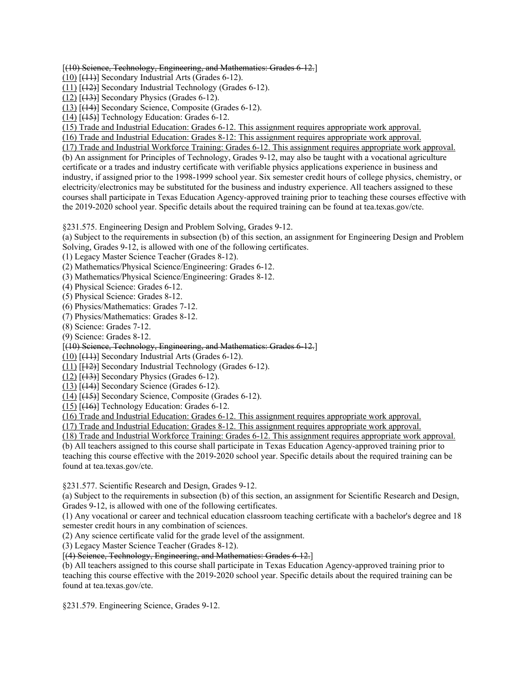[(10) Science, Technology, Engineering, and Mathematics: Grades 6-12.]

 $(10)$  [ $(11)$ ] Secondary Industrial Arts (Grades 6-12).

(11) [(12)] Secondary Industrial Technology (Grades 6-12).

 $(12)$   $[$ ( $+3$ ) $]$  Secondary Physics (Grades 6-12).

(13) [(14)] Secondary Science, Composite (Grades 6-12).

(14) [(15)] Technology Education: Grades 6-12.

(15) Trade and Industrial Education: Grades 6-12. This assignment requires appropriate work approval.

(16) Trade and Industrial Education: Grades 8-12: This assignment requires appropriate work approval.

(17) Trade and Industrial Workforce Training: Grades 6-12. This assignment requires appropriate work approval.

 the 2019-2020 school year. Specific details about the required training can be found at [tea.texas.gov/cte.](https://tea.texas.gov/cte) (b) An assignment for Principles of Technology, Grades 9-12, may also be taught with a vocational agriculture certificate or a trades and industry certificate with verifiable physics applications experience in business and industry, if assigned prior to the 1998-1999 school year. Six semester credit hours of college physics, chemistry, or electricity/electronics may be substituted for the business and industry experience. All teachers assigned to these courses shall participate in Texas Education Agency-approved training prior to teaching these courses effective with

§231.575. Engineering Design and Problem Solving, Grades 9-12.

 Solving, Grades 9-12, is allowed with one of the following certificates. (a) Subject to the requirements in subsection (b) of this section, an assignment for Engineering Design and Problem

(1) Legacy Master Science Teacher (Grades 8-12).

(1) Legacy Master Science Teacher (Grades 8-12). (2) Mathematics/Physical Science/Engineering: Grades 6-12.

(3) Mathematics/Physical Science/Engineering: Grades 8-12.

(4) Physical Science: Grades 6-12.

(5) Physical Science: Grades 8-12.

(6) Physics/Mathematics: Grades 7-12.

(7) Physics/Mathematics: Grades 8-12.

(8) Science: Grades 7-12.

(9) Science: Grades 8-12.

[(10) Science, Technology, Engineering, and Mathematics: Grades 6-12.]

 $(10)$   $[$ ( $]$ )] Secondary Industrial Arts (Grades 6-12).

(11) [[12)] Secondary Industrial Technology (Grades 6-12).

 $(12)$   $(13)$ ] Secondary Physics (Grades 6-12).

 $(13)$  [ $(14)$ ] Secondary Science (Grades 6-12).

(14) [(15)] Secondary Science, Composite (Grades 6-12).

(15) [(16)] Technology Education: Grades 6-12.

(16) Trade and Industrial Education: Grades 6-12. This assignment requires appropriate work approval.

(17) Trade and Industrial Education: Grades 8-12. This assignment requires appropriate work approval.

(18) Trade and Industrial Workforce Training: Grades 6-12. This assignment requires appropriate work approval.

(b) All teachers assigned to this course shall participate in Texas Education Agency-approved training prior to teaching this course effective with the 2019-2020 school year. Specific details about the required training can be found at [tea.texas.gov/cte](https://tea.texas.gov/cte).

§231.577. Scientific Research and Design, Grades 9-12.

(a) Subject to the requirements in subsection (b) of this section, an assignment for Scientific Research and Design, Grades 9-12, is allowed with one of the following certificates.

(1) Any vocational or career and technical education classroom teaching certificate with a bachelor's degree and 18 semester credit hours in any combination of sciences.

(2) Any science certificate valid for the grade level of the assignment.

(3) Legacy Master Science Teacher (Grades 8-12).

[(4) Science, Technology, Engineering, and Mathematics: Grades 6-12.]

(b) All teachers assigned to this course shall participate in Texas Education Agency-approved training prior to teaching this course effective with the 2019-2020 school year. Specific details about the required training can be found at [tea.texas.gov/cte](https://tea.texas.gov/cte).

§231.579. Engineering Science, Grades 9-12.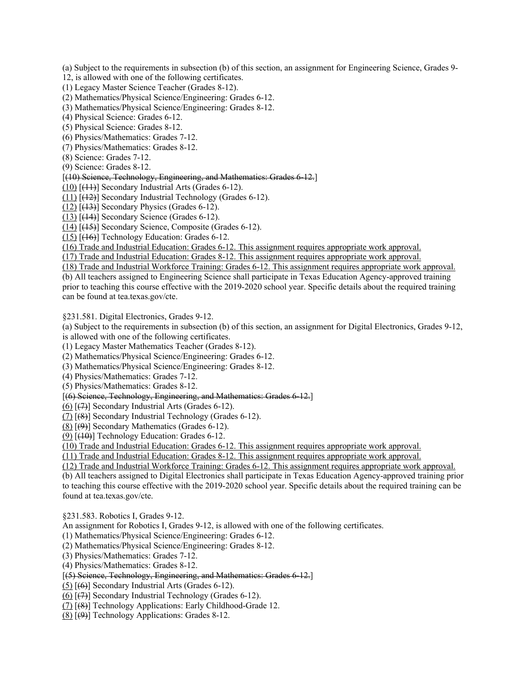(a) Subject to the requirements in subsection (b) of this section, an assignment for Engineering Science, Grades 9-

12, is allowed with one of the following certificates.

(1) Legacy Master Science Teacher (Grades 8-12).

(1) Legacy Master Science Teacher (Grades 8-12). (2) Mathematics/Physical Science/Engineering: Grades 6-12.

(3) Mathematics/Physical Science/Engineering: Grades 8-12.

(4) Physical Science: Grades 6-12.

(5) Physical Science: Grades 8-12.

(6) Physics/Mathematics: Grades 7-12.

(7) Physics/Mathematics: Grades 8-12.

(8) Science: Grades 7-12.

(9) Science: Grades 8-12.

## [(10) Science, Technology, Engineering, and Mathematics: Grades 6-12.]

(10) [(11)] Secondary Industrial Arts (Grades 6-12).

(11) [(12)] Secondary Industrial Technology (Grades 6-12).

 $(12)$   $[43]$  Secondary Physics (Grades 6-12).

 $(13)$   $[$ ( $[$ 44)</sub> $]$  Secondary Science (Grades 6-12).

(14) [(15)] Secondary Science, Composite (Grades 6-12).

(15) [(16)] Technology Education: Grades 6-12.

(16) Trade and Industrial Education: Grades 6-12. This assignment requires appropriate work approval.

(17) Trade and Industrial Education: Grades 8-12. This assignment requires appropriate work approval.

(18) Trade and Industrial Workforce Training: Grades 6-12. This assignment requires appropriate work approval. (b) All teachers assigned to Engineering Science shall participate in Texas Education Agency-approved training prior to teaching this course effective with the 2019-2020 school year. Specific details about the required training can be found at [tea.texas.gov/cte](https://tea.texas.gov/cte).

§231.581. Digital Electronics, Grades 9-12.

(a) Subject to the requirements in subsection (b) of this section, an assignment for Digital Electronics, Grades 9-12, is allowed with one of the following certificates.

(1) Legacy Master Mathematics Teacher (Grades 8-12).

(2) Mathematics/Physical Science/Engineering: Grades 6-12.

(3) Mathematics/Physical Science/Engineering: Grades 8-12.

(4) Physics/Mathematics: Grades 7-12.

(5) Physics/Mathematics: Grades 8-12.

[(6) Science, Technology, Engineering, and Mathematics: Grades 6-12.]

 $(6)$   $\left[\left(7\right)\right]$  Secondary Industrial Arts (Grades 6-12).

(7) [(8)] Secondary Industrial Technology (Grades 6-12).

 $(8)$   $(9)$ ] Secondary Mathematics (Grades 6-12).

 $(9)$  [ $(10)$ ] Technology Education: Grades 6-12.

(10) Trade and Industrial Education: Grades 6-12. This assignment requires appropriate work approval.

(11) Trade and Industrial Education: Grades 8-12. This assignment requires appropriate work approval.

(12) Trade and Industrial Workforce Training: Grades 6-12. This assignment requires appropriate work approval. (b) All teachers assigned to Digital Electronics shall participate in Texas Education Agency-approved training prior to teaching this course effective with the 2019-2020 school year. Specific details about the required training can be found at [tea.texas.gov/cte](https://tea.texas.gov/cte).

§231.583. Robotics I, Grades 9-12.

An assignment for Robotics I, Grades 9-12, is allowed with one of the following certificates.

(1) Mathematics/Physical Science/Engineering: Grades 6-12.

(2) Mathematics/Physical Science/Engineering: Grades 8-12.

(3) Physics/Mathematics: Grades 7-12.

(4) Physics/Mathematics: Grades 8-12.

## [(5) Science, Technology, Engineering, and Mathematics: Grades 6-12.]

 $(5)$  [ $(6)$ ] Secondary Industrial Arts (Grades 6-12).

 $(6)$  [ $(7)$ ] Secondary Industrial Technology (Grades 6-12).

(7) [(8)] Technology Applications: Early Childhood-Grade 12.

(8) [(9)] Technology Applications: Grades 8-12.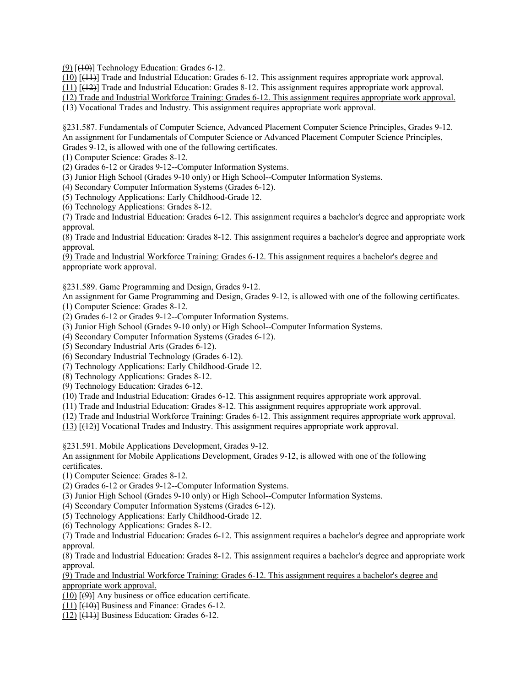$(9)$   $(10)$ ] Technology Education: Grades 6-12.

(10) [(11)] Trade and Industrial Education: Grades 6-12. This assignment requires appropriate work approval.

(11) [(12)] Trade and Industrial Education: Grades 8-12. This assignment requires appropriate work approval.

(12) Trade and Industrial Workforce Training: Grades 6-12. This assignment requires appropriate work approval.

(13) Vocational Trades and Industry. This assignment requires appropriate work approval.

§231.587. Fundamentals of Computer Science, Advanced Placement Computer Science Principles, Grades 9-12. An assignment for Fundamentals of Computer Science or Advanced Placement Computer Science Principles, Grades 9-12, is allowed with one of the following certificates.

(1) Computer Science: Grades 8-12.

(2) Grades 6-12 or Grades 9-12--Computer Information Systems.

(3) Junior High School (Grades 9-10 only) or High School--Computer Information Systems.

(4) Secondary Computer Information Systems (Grades 6-12).

(5) Technology Applications: Early Childhood-Grade 12.

(6) Technology Applications: Grades 8-12.

(7) Trade and Industrial Education: Grades 6-12. This assignment requires a bachelor's degree and appropriate work approval.

(8) Trade and Industrial Education: Grades 8-12. This assignment requires a bachelor's degree and appropriate work approval.

(9) Trade and Industrial Workforce Training: Grades 6-12. This assignment requires a bachelor's degree and appropriate work approval.

§231.589. Game Programming and Design, Grades 9-12.

An assignment for Game Programming and Design, Grades 9-12, is allowed with one of the following certificates.

(1) Computer Science: Grades 8-12.

(2) Grades 6-12 or Grades 9-12--Computer Information Systems.

- (3) Junior High School (Grades 9-10 only) or High School--Computer Information Systems.
- (4) Secondary Computer Information Systems (Grades 6-12).

(5) Secondary Industrial Arts (Grades 6-12).

(6) Secondary Industrial Technology (Grades 6-12).

(7) Technology Applications: Early Childhood-Grade 12.

(8) Technology Applications: Grades 8-12.

(9) Technology Education: Grades 6-12.

(10) Trade and Industrial Education: Grades 6-12. This assignment requires appropriate work approval.

(11) Trade and Industrial Education: Grades 8-12. This assignment requires appropriate work approval.

(12) Trade and Industrial Workforce Training: Grades 6-12. This assignment requires appropriate work approval.

(13) [(12)] Vocational Trades and Industry. This assignment requires appropriate work approval.

§231.591. Mobile Applications Development, Grades 9-12.

 An assignment for Mobile Applications Development, Grades 9-12, is allowed with one of the following certificates.

(1) Computer Science: Grades 8-12.

(2) Grades 6-12 or Grades 9-12--Computer Information Systems.

(3) Junior High School (Grades 9-10 only) or High School--Computer Information Systems.

(4) Secondary Computer Information Systems (Grades 6-12).

(5) Technology Applications: Early Childhood-Grade 12.

(6) Technology Applications: Grades 8-12.

(7) Trade and Industrial Education: Grades 6-12. This assignment requires a bachelor's degree and appropriate work approval.

(8) Trade and Industrial Education: Grades 8-12. This assignment requires a bachelor's degree and appropriate work approval.

(9) Trade and Industrial Workforce Training: Grades 6-12. This assignment requires a bachelor's degree and appropriate work approval.

 $(10)$   $[ (9) ]$  Any business or office education certificate.

 $(11)$   $[(10)$ ] Business and Finance: Grades 6-12.

 $(12)$   $[$ ( $]$  $+1$  $]$ } Business Education: Grades 6-12.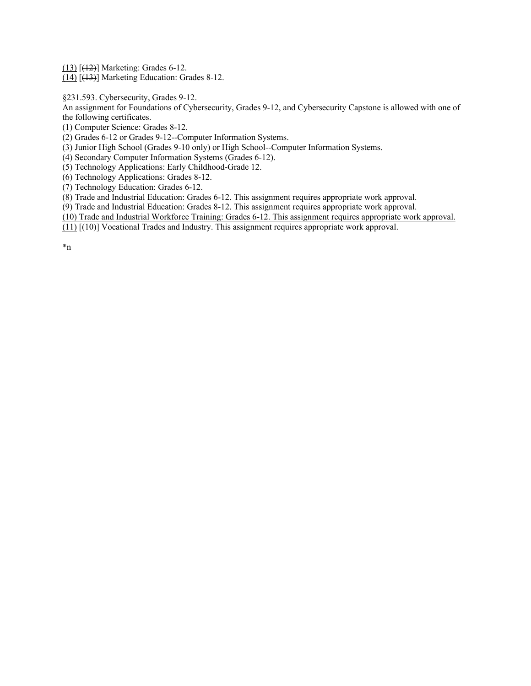(13) [(12)] Marketing: Grades 6-12.

(14) [(13)] Marketing Education: Grades 8-12.

§231.593. Cybersecurity, Grades 9-12.

 An assignment for Foundations of Cybersecurity, Grades 9-12, and Cybersecurity Capstone is allowed with one of the following certificates.

(1) Computer Science: Grades 8-12.

(2) Grades 6-12 or Grades 9-12--Computer Information Systems.

(3) Junior High School (Grades 9-10 only) or High School--Computer Information Systems.

(4) Secondary Computer Information Systems (Grades 6-12).

(5) Technology Applications: Early Childhood-Grade 12.

(6) Technology Applications: Grades 8-12.

(7) Technology Education: Grades 6-12.

(8) Trade and Industrial Education: Grades 6-12. This assignment requires appropriate work approval.

(9) Trade and Industrial Education: Grades 8-12. This assignment requires appropriate work approval.

(10) Trade and Industrial Workforce Training: Grades 6-12. This assignment requires appropriate work approval.

(11) [(10)] Vocational Trades and Industry. This assignment requires appropriate work approval.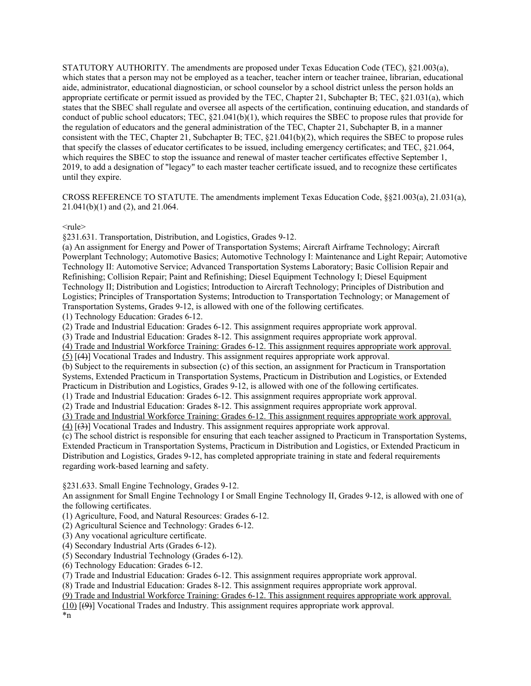CROSS REFERENCE TO STATUTE. The amendments implement Texas Education Code, §§21.003(a), 21.031(a), 21.041(b)(1) and (2), and 21.064.

 $<sub>rule</sub>$ </sub>

§231.631. Transportation, Distribution, and Logistics, Grades 9-12.

(a) An assignment for Energy and Power of Transportation Systems; Aircraft Airframe Technology; Aircraft Powerplant Technology; Automotive Basics; Automotive Technology I: Maintenance and Light Repair; Automotive Technology II: Automotive Service; Advanced Transportation Systems Laboratory; Basic Collision Repair and Refinishing; Collision Repair; Paint and Refinishing; Diesel Equipment Technology I; Diesel Equipment Technology II; Distribution and Logistics; Introduction to Aircraft Technology; Principles of Distribution and Logistics; Principles of Transportation Systems; Introduction to Transportation Technology; or Management of Transportation Systems, Grades 9-12, is allowed with one of the following certificates.

(1) Technology Education: Grades 6-12.

(2) Trade and Industrial Education: Grades 6-12. This assignment requires appropriate work approval.

(3) Trade and Industrial Education: Grades 8-12. This assignment requires appropriate work approval.

(4) Trade and Industrial Workforce Training: Grades 6-12. This assignment requires appropriate work approval.

(5) [(4)] Vocational Trades and Industry. This assignment requires appropriate work approval.

(b) Subject to the requirements in subsection (c) of this section, an assignment for Practicum in Transportation Systems, Extended Practicum in Transportation Systems, Practicum in Distribution and Logistics, or Extended Practicum in Distribution and Logistics, Grades 9-12, is allowed with one of the following certificates.

(1) Trade and Industrial Education: Grades 6-12. This assignment requires appropriate work approval.

(2) Trade and Industrial Education: Grades 8-12. This assignment requires appropriate work approval.

(3) Trade and Industrial Workforce Training: Grades 6-12. This assignment requires appropriate work approval.

(4) [(3)] Vocational Trades and Industry. This assignment requires appropriate work approval.

(c) The school district is responsible for ensuring that each teacher assigned to Practicum in Transportation Systems, Extended Practicum in Transportation Systems, Practicum in Distribution and Logistics, or Extended Practicum in Distribution and Logistics, Grades 9-12, has completed appropriate training in state and federal requirements regarding work-based learning and safety.

§231.633. Small Engine Technology, Grades 9-12.

 An assignment for Small Engine Technology I or Small Engine Technology II, Grades 9-12, is allowed with one of the following certificates.

(1) Agriculture, Food, and Natural Resources: Grades 6-12.

(2) Agricultural Science and Technology: Grades 6-12.

(3) Any vocational agriculture certificate.

(4) Secondary Industrial Arts (Grades 6-12).

(5) Secondary Industrial Technology (Grades 6-12).

(6) Technology Education: Grades 6-12.

(7) Trade and Industrial Education: Grades 6-12. This assignment requires appropriate work approval.

(8) Trade and Industrial Education: Grades 8-12. This assignment requires appropriate work approval.

(9) Trade and Industrial Workforce Training: Grades 6-12. This assignment requires appropriate work approval.

(10) [(9)] Vocational Trades and Industry. This assignment requires appropriate work approval.